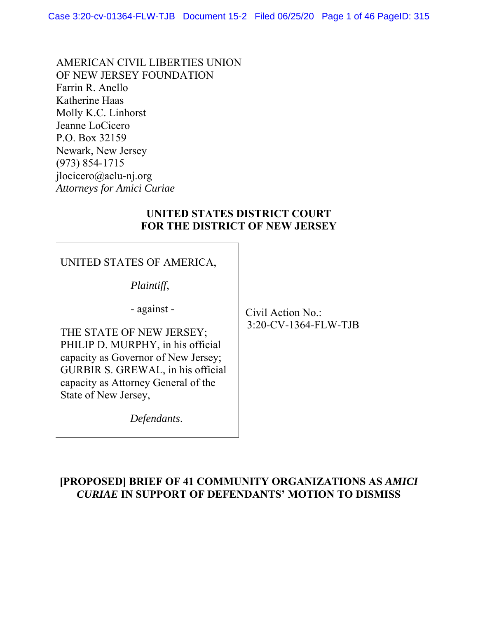AMERICAN CIVIL LIBERTIES UNION OF NEW JERSEY FOUNDATION Farrin R. Anello Katherine Haas Molly K.C. Linhorst Jeanne LoCicero P.O. Box 32159 Newark, New Jersey (973) 854-1715 jlocicero@aclu-nj.org *Attorneys for Amici Curiae* 

#### **UNITED STATES DISTRICT COURT FOR THE DISTRICT OF NEW JERSEY**

### UNITED STATES OF AMERICA,

*Plaintiff*,

- against -

THE STATE OF NEW JERSEY; PHILIP D. MURPHY, in his official capacity as Governor of New Jersey; GURBIR S. GREWAL, in his official capacity as Attorney General of the State of New Jersey,

*Defendants*.

 Civil Action No.: 3:20-CV-1364-FLW-TJB

### **[PROPOSED] BRIEF OF 41 COMMUNITY ORGANIZATIONS AS** *AMICI CURIAE* **IN SUPPORT OF DEFENDANTS' MOTION TO DISMISS**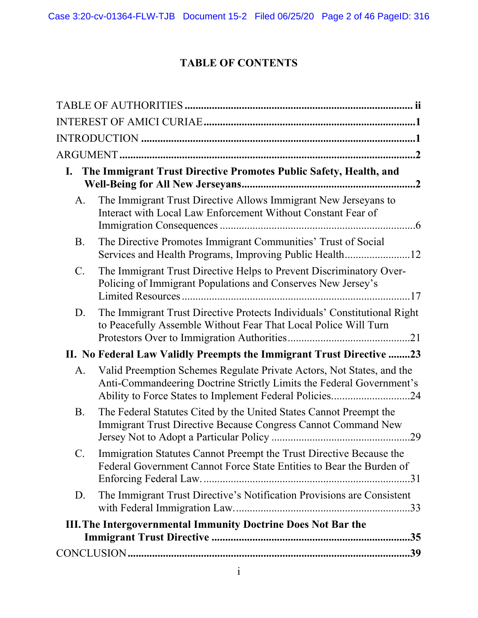# **TABLE OF CONTENTS**

|                 | I. The Immigrant Trust Directive Promotes Public Safety, Health, and                                                                          |
|-----------------|-----------------------------------------------------------------------------------------------------------------------------------------------|
| A.              | The Immigrant Trust Directive Allows Immigrant New Jerseyans to<br>Interact with Local Law Enforcement Without Constant Fear of               |
| <b>B.</b>       | The Directive Promotes Immigrant Communities' Trust of Social<br>Services and Health Programs, Improving Public Health12                      |
| $\mathcal{C}$ . | The Immigrant Trust Directive Helps to Prevent Discriminatory Over-<br>Policing of Immigrant Populations and Conserves New Jersey's           |
| D.              | The Immigrant Trust Directive Protects Individuals' Constitutional Right<br>to Peacefully Assemble Without Fear That Local Police Will Turn   |
|                 | II. No Federal Law Validly Preempts the Immigrant Trust Directive 23                                                                          |
| A.              | Valid Preemption Schemes Regulate Private Actors, Not States, and the<br>Anti-Commandeering Doctrine Strictly Limits the Federal Government's |
| <b>B.</b>       | The Federal Statutes Cited by the United States Cannot Preempt the<br>Immigrant Trust Directive Because Congress Cannot Command New           |
| $C$ .           | Immigration Statutes Cannot Preempt the Trust Directive Because the<br>Federal Government Cannot Force State Entities to Bear the Burden of   |
| D.              | The Immigrant Trust Directive's Notification Provisions are Consistent                                                                        |
|                 | <b>III. The Intergovernmental Immunity Doctrine Does Not Bar the</b>                                                                          |
|                 |                                                                                                                                               |
|                 |                                                                                                                                               |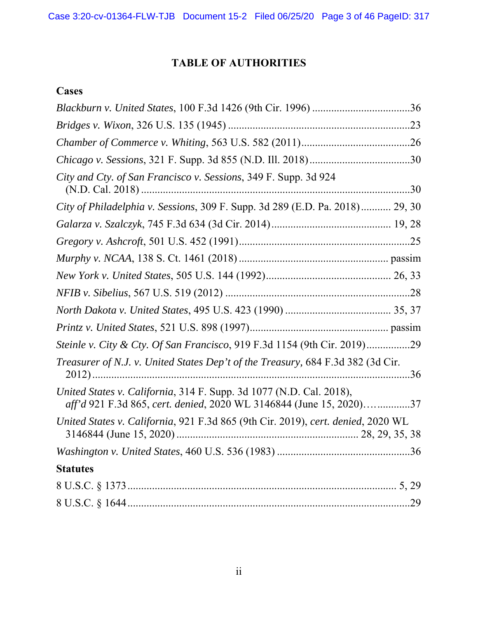# **TABLE OF AUTHORITIES**

#### **Cases**

| City and Cty. of San Francisco v. Sessions, 349 F. Supp. 3d 924                                                                            |
|--------------------------------------------------------------------------------------------------------------------------------------------|
| City of Philadelphia v. Sessions, 309 F. Supp. 3d 289 (E.D. Pa. 2018) 29, 30                                                               |
|                                                                                                                                            |
|                                                                                                                                            |
|                                                                                                                                            |
|                                                                                                                                            |
|                                                                                                                                            |
|                                                                                                                                            |
|                                                                                                                                            |
| Steinle v. City & Cty. Of San Francisco, 919 F.3d 1154 (9th Cir. 2019)29                                                                   |
| Treasurer of N.J. v. United States Dep't of the Treasury, 684 F.3d 382 (3d Cir.                                                            |
| United States v. California, 314 F. Supp. 3d 1077 (N.D. Cal. 2018),<br>aff'd 921 F.3d 865, cert. denied, 2020 WL 3146844 (June 15, 2020)37 |
| United States v. California, 921 F.3d 865 (9th Cir. 2019), cert. denied, 2020 WL                                                           |
|                                                                                                                                            |
| <b>Statutes</b>                                                                                                                            |
|                                                                                                                                            |
|                                                                                                                                            |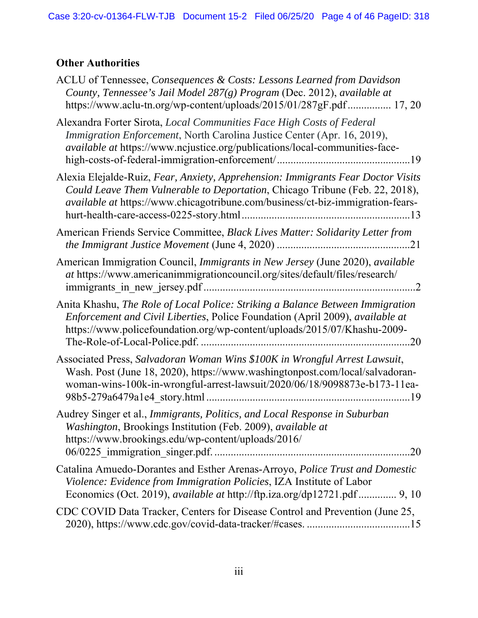# **Other Authorities**

| ACLU of Tennessee, Consequences & Costs: Lessons Learned from Davidson<br>County, Tennessee's Jail Model 287(g) Program (Dec. 2012), available at<br>https://www.aclu-tn.org/wp-content/uploads/2015/01/287gF.pdf 17, 20                                  |
|-----------------------------------------------------------------------------------------------------------------------------------------------------------------------------------------------------------------------------------------------------------|
| Alexandra Forter Sirota, Local Communities Face High Costs of Federal<br>Immigration Enforcement, North Carolina Justice Center (Apr. 16, 2019),<br>available at https://www.ncjustice.org/publications/local-communities-face-                           |
| Alexia Elejalde-Ruiz, Fear, Anxiety, Apprehension: Immigrants Fear Doctor Visits<br>Could Leave Them Vulnerable to Deportation, Chicago Tribune (Feb. 22, 2018),<br><i>available at https://www.chicagotribune.com/business/ct-biz-immigration-fears-</i> |
| American Friends Service Committee, Black Lives Matter: Solidarity Letter from                                                                                                                                                                            |
| American Immigration Council, Immigrants in New Jersey (June 2020), available<br>at https://www.americanimmigrationcouncil.org/sites/default/files/research/                                                                                              |
| Anita Khashu, The Role of Local Police: Striking a Balance Between Immigration<br>Enforcement and Civil Liberties, Police Foundation (April 2009), available at<br>https://www.policefoundation.org/wp-content/uploads/2015/07/Khashu-2009-<br>.20        |
| Associated Press, Salvadoran Woman Wins \$100K in Wrongful Arrest Lawsuit,<br>Wash. Post (June 18, 2020), https://www.washingtonpost.com/local/salvadoran-<br>woman-wins-100k-in-wrongful-arrest-lawsuit/2020/06/18/9098873e-b173-11ea-                   |
| Audrey Singer et al., Immigrants, Politics, and Local Response in Suburban<br>Washington, Brookings Institution (Feb. 2009), available at<br>https://www.brookings.edu/wp-content/uploads/2016/<br>.20                                                    |
| Catalina Amuedo-Dorantes and Esther Arenas-Arroyo, <i>Police Trust and Domestic</i><br>Violence: Evidence from Immigration Policies, IZA Institute of Labor<br>Economics (Oct. 2019), <i>available at http://ftp.iza.org/dp12721.pdf</i> 9, 10            |
| CDC COVID Data Tracker, Centers for Disease Control and Prevention (June 25,                                                                                                                                                                              |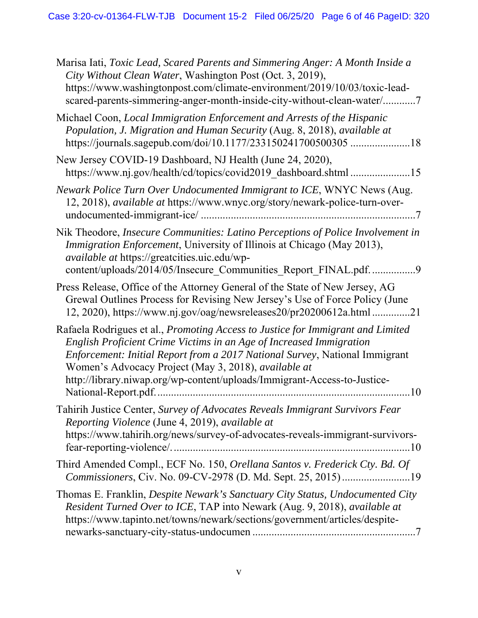| Marisa Iati, Toxic Lead, Scared Parents and Simmering Anger: A Month Inside a<br>City Without Clean Water, Washington Post (Oct. 3, 2019),<br>https://www.washingtonpost.com/climate-environment/2019/10/03/toxic-lead-<br>scared-parents-simmering-anger-month-inside-city-without-clean-water/7                                                                                |
|----------------------------------------------------------------------------------------------------------------------------------------------------------------------------------------------------------------------------------------------------------------------------------------------------------------------------------------------------------------------------------|
| Michael Coon, Local Immigration Enforcement and Arrests of the Hispanic<br>Population, J. Migration and Human Security (Aug. 8, 2018), available at<br>https://journals.sagepub.com/doi/10.1177/233150241700500305 18                                                                                                                                                            |
| New Jersey COVID-19 Dashboard, NJ Health (June 24, 2020),<br>https://www.nj.gov/health/cd/topics/covid2019 dashboard.shtml 15                                                                                                                                                                                                                                                    |
| Newark Police Turn Over Undocumented Immigrant to ICE, WNYC News (Aug.<br>12, 2018), <i>available at</i> https://www.wnyc.org/story/newark-police-turn-over-                                                                                                                                                                                                                     |
| Nik Theodore, Insecure Communities: Latino Perceptions of Police Involvement in<br>Immigration Enforcement, University of Illinois at Chicago (May 2013),<br>available at https://greatcities.uic.edu/wp-<br>content/uploads/2014/05/Insecure_Communities_Report_FINAL.pdf. 9                                                                                                    |
| Press Release, Office of the Attorney General of the State of New Jersey, AG<br>Grewal Outlines Process for Revising New Jersey's Use of Force Policy (June<br>12, 2020), https://www.nj.gov/oag/newsreleases20/pr20200612a.html 21                                                                                                                                              |
| Rafaela Rodrigues et al., Promoting Access to Justice for Immigrant and Limited<br>English Proficient Crime Victims in an Age of Increased Immigration<br>Enforcement: Initial Report from a 2017 National Survey, National Immigrant<br>Women's Advocacy Project (May 3, 2018), available at<br>http://library.niwap.org/wp-content/uploads/Immigrant-Access-to-Justice-<br>.10 |
| Tahirih Justice Center, Survey of Advocates Reveals Immigrant Survivors Fear<br>Reporting Violence (June 4, 2019), available at<br>https://www.tahirih.org/news/survey-of-advocates-reveals-immigrant-survivors-<br>$\dots$ 10                                                                                                                                                   |
| Third Amended Compl., ECF No. 150, Orellana Santos v. Frederick Cty. Bd. Of<br>Commissioners, Civ. No. 09-CV-2978 (D. Md. Sept. 25, 2015)19                                                                                                                                                                                                                                      |
| Thomas E. Franklin, Despite Newark's Sanctuary City Status, Undocumented City<br>Resident Turned Over to ICE, TAP into Newark (Aug. 9, 2018), available at<br>https://www.tapinto.net/towns/newark/sections/government/articles/despite-                                                                                                                                         |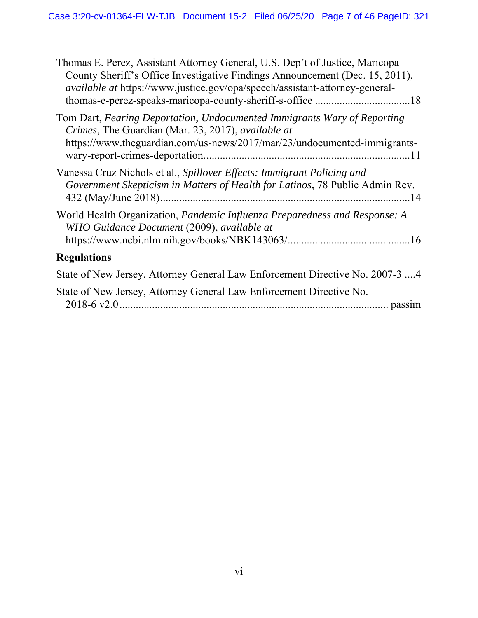| Thomas E. Perez, Assistant Attorney General, U.S. Dep't of Justice, Maricopa<br>County Sheriff's Office Investigative Findings Announcement (Dec. 15, 2011),<br><i>available at https://www.justice.gov/opa/speech/assistant-attorney-general-</i> |
|----------------------------------------------------------------------------------------------------------------------------------------------------------------------------------------------------------------------------------------------------|
| Tom Dart, Fearing Deportation, Undocumented Immigrants Wary of Reporting<br>Crimes, The Guardian (Mar. 23, 2017), available at<br>https://www.theguardian.com/us-news/2017/mar/23/undocumented-immigrants-                                         |
| Vanessa Cruz Nichols et al., Spillover Effects: Immigrant Policing and<br>Government Skepticism in Matters of Health for Latinos, 78 Public Admin Rev.                                                                                             |
| World Health Organization, Pandemic Influenza Preparedness and Response: A<br>WHO Guidance Document (2009), available at                                                                                                                           |
| <b>Regulations</b>                                                                                                                                                                                                                                 |
| State of New Jersey, Attorney General Law Enforcement Directive No. 2007-3 4                                                                                                                                                                       |
| State of New Jersey, Attorney General Law Enforcement Directive No.                                                                                                                                                                                |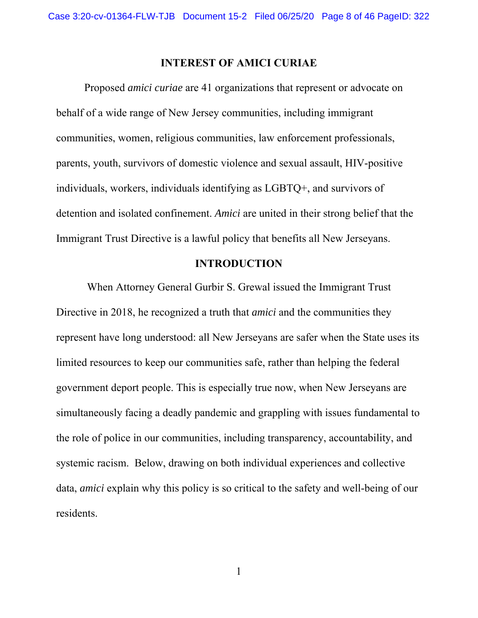#### **INTEREST OF AMICI CURIAE**

 Proposed *amici curiae* are 41 organizations that represent or advocate on behalf of a wide range of New Jersey communities, including immigrant communities, women, religious communities, law enforcement professionals, parents, youth, survivors of domestic violence and sexual assault, HIV-positive individuals, workers, individuals identifying as LGBTQ+, and survivors of detention and isolated confinement. *Amici* are united in their strong belief that the Immigrant Trust Directive is a lawful policy that benefits all New Jerseyans.

#### **INTRODUCTION**

 When Attorney General Gurbir S. Grewal issued the Immigrant Trust Directive in 2018, he recognized a truth that *amici* and the communities they represent have long understood: all New Jerseyans are safer when the State uses its limited resources to keep our communities safe, rather than helping the federal government deport people. This is especially true now, when New Jerseyans are simultaneously facing a deadly pandemic and grappling with issues fundamental to the role of police in our communities, including transparency, accountability, and systemic racism. Below, drawing on both individual experiences and collective data, *amici* explain why this policy is so critical to the safety and well-being of our residents.

1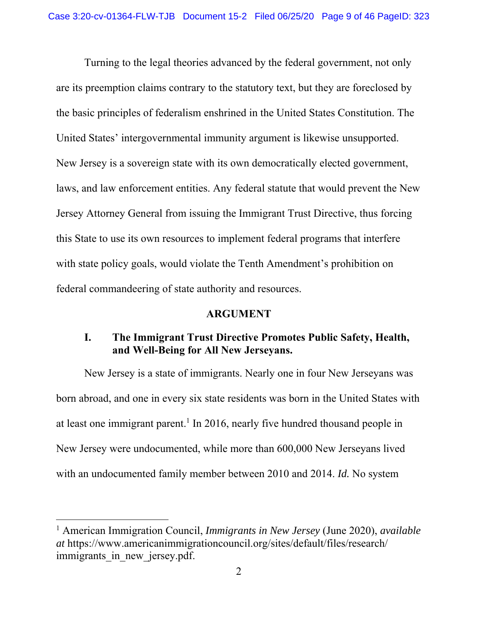Turning to the legal theories advanced by the federal government, not only are its preemption claims contrary to the statutory text, but they are foreclosed by the basic principles of federalism enshrined in the United States Constitution. The United States' intergovernmental immunity argument is likewise unsupported. New Jersey is a sovereign state with its own democratically elected government, laws, and law enforcement entities. Any federal statute that would prevent the New Jersey Attorney General from issuing the Immigrant Trust Directive, thus forcing this State to use its own resources to implement federal programs that interfere with state policy goals, would violate the Tenth Amendment's prohibition on federal commandeering of state authority and resources.

#### **ARGUMENT**

### **I. The Immigrant Trust Directive Promotes Public Safety, Health, and Well-Being for All New Jerseyans.**

New Jersey is a state of immigrants. Nearly one in four New Jerseyans was born abroad, and one in every six state residents was born in the United States with at least one immigrant parent.<sup>1</sup> In 2016, nearly five hundred thousand people in New Jersey were undocumented, while more than 600,000 New Jerseyans lived with an undocumented family member between 2010 and 2014. *Id.* No system

<sup>1</sup> American Immigration Council, *Immigrants in New Jersey* (June 2020), *available at* https://www.americanimmigrationcouncil.org/sites/default/files/research/ immigrants in new jersey.pdf.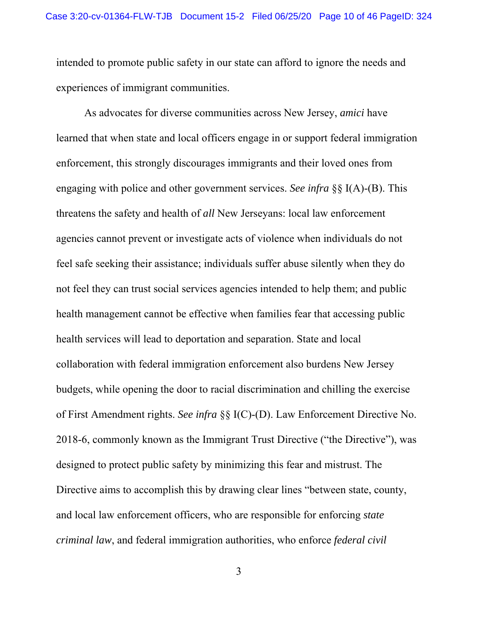intended to promote public safety in our state can afford to ignore the needs and experiences of immigrant communities.

 As advocates for diverse communities across New Jersey, *amici* have learned that when state and local officers engage in or support federal immigration enforcement, this strongly discourages immigrants and their loved ones from engaging with police and other government services. *See infra* §§ I(A)-(B). This threatens the safety and health of *all* New Jerseyans: local law enforcement agencies cannot prevent or investigate acts of violence when individuals do not feel safe seeking their assistance; individuals suffer abuse silently when they do not feel they can trust social services agencies intended to help them; and public health management cannot be effective when families fear that accessing public health services will lead to deportation and separation. State and local collaboration with federal immigration enforcement also burdens New Jersey budgets, while opening the door to racial discrimination and chilling the exercise of First Amendment rights. *See infra* §§ I(C)-(D). Law Enforcement Directive No. 2018-6, commonly known as the Immigrant Trust Directive ("the Directive"), was designed to protect public safety by minimizing this fear and mistrust. The Directive aims to accomplish this by drawing clear lines "between state, county, and local law enforcement officers, who are responsible for enforcing *state criminal law*, and federal immigration authorities, who enforce *federal civil*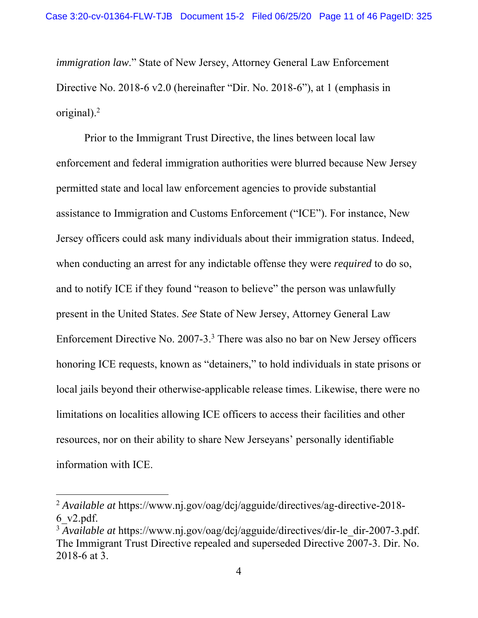*immigration law*." State of New Jersey, Attorney General Law Enforcement Directive No. 2018-6 v2.0 (hereinafter "Dir. No. 2018-6"), at 1 (emphasis in original).<sup>2</sup>

 Prior to the Immigrant Trust Directive, the lines between local law enforcement and federal immigration authorities were blurred because New Jersey permitted state and local law enforcement agencies to provide substantial assistance to Immigration and Customs Enforcement ("ICE"). For instance, New Jersey officers could ask many individuals about their immigration status. Indeed, when conducting an arrest for any indictable offense they were *required* to do so, and to notify ICE if they found "reason to believe" the person was unlawfully present in the United States. *See* State of New Jersey, Attorney General Law Enforcement Directive No. 2007-3.<sup>3</sup> There was also no bar on New Jersey officers honoring ICE requests, known as "detainers," to hold individuals in state prisons or local jails beyond their otherwise-applicable release times. Likewise, there were no limitations on localities allowing ICE officers to access their facilities and other resources, nor on their ability to share New Jerseyans' personally identifiable information with ICE.

<sup>2</sup> *Available at* https://www.nj.gov/oag/dcj/agguide/directives/ag-directive-2018- 6\_v2.pdf.

<sup>&</sup>lt;sup>3</sup> *Available at* https://www.nj.gov/oag/dcj/agguide/directives/dir-le\_dir-2007-3.pdf. The Immigrant Trust Directive repealed and superseded Directive 2007-3. Dir. No. 2018-6 at 3.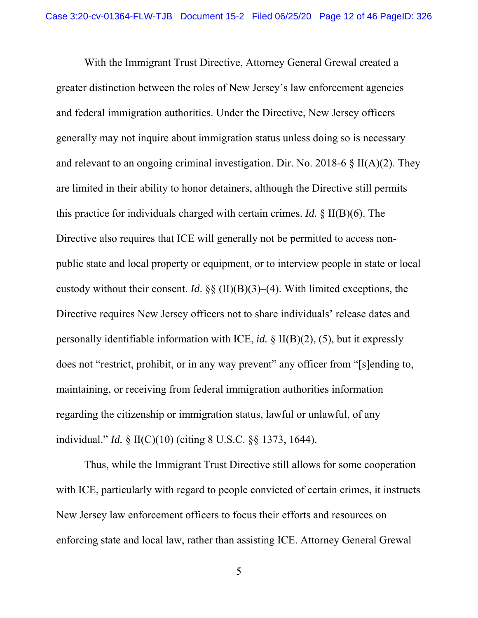With the Immigrant Trust Directive, Attorney General Grewal created a greater distinction between the roles of New Jersey's law enforcement agencies and federal immigration authorities. Under the Directive, New Jersey officers generally may not inquire about immigration status unless doing so is necessary and relevant to an ongoing criminal investigation. Dir. No. 2018-6  $\S$  II(A)(2). They are limited in their ability to honor detainers, although the Directive still permits this practice for individuals charged with certain crimes. *Id.* § II(B)(6). The Directive also requires that ICE will generally not be permitted to access nonpublic state and local property or equipment, or to interview people in state or local custody without their consent. *Id*. §§ (II)(B)(3)–(4). With limited exceptions, the Directive requires New Jersey officers not to share individuals' release dates and personally identifiable information with ICE, *id.* § II(B)(2), (5), but it expressly does not "restrict, prohibit, or in any way prevent" any officer from "[s]ending to, maintaining, or receiving from federal immigration authorities information regarding the citizenship or immigration status, lawful or unlawful, of any individual." *Id.* § II(C)(10) (citing 8 U.S.C. §§ 1373, 1644).

 Thus, while the Immigrant Trust Directive still allows for some cooperation with ICE, particularly with regard to people convicted of certain crimes, it instructs New Jersey law enforcement officers to focus their efforts and resources on enforcing state and local law, rather than assisting ICE. Attorney General Grewal

5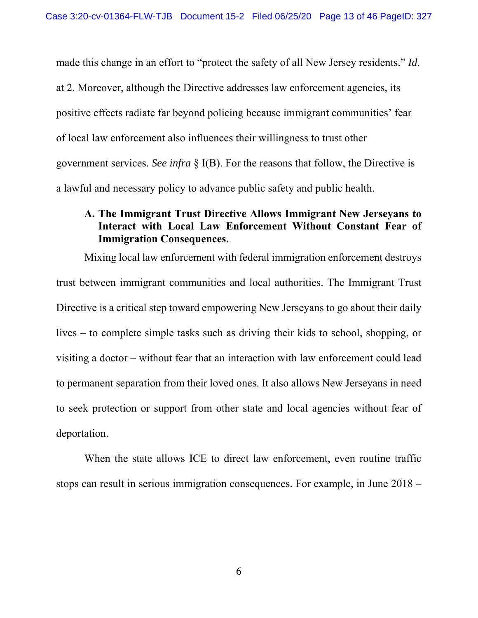made this change in an effort to "protect the safety of all New Jersey residents." *Id*. at 2. Moreover, although the Directive addresses law enforcement agencies, its positive effects radiate far beyond policing because immigrant communities' fear of local law enforcement also influences their willingness to trust other government services. *See infra* § I(B). For the reasons that follow, the Directive is a lawful and necessary policy to advance public safety and public health.

### **A. The Immigrant Trust Directive Allows Immigrant New Jerseyans to Interact with Local Law Enforcement Without Constant Fear of Immigration Consequences.**

Mixing local law enforcement with federal immigration enforcement destroys trust between immigrant communities and local authorities. The Immigrant Trust Directive is a critical step toward empowering New Jerseyans to go about their daily lives – to complete simple tasks such as driving their kids to school, shopping, or visiting a doctor – without fear that an interaction with law enforcement could lead to permanent separation from their loved ones. It also allows New Jerseyans in need to seek protection or support from other state and local agencies without fear of deportation.

When the state allows ICE to direct law enforcement, even routine traffic stops can result in serious immigration consequences. For example, in June 2018 –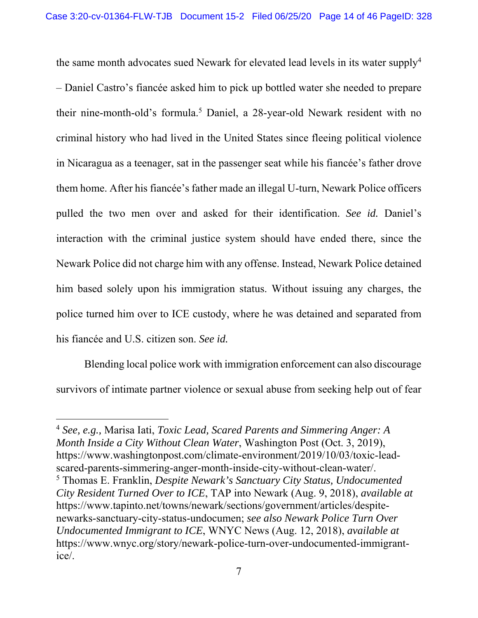the same month advocates sued Newark for elevated lead levels in its water supply<sup>4</sup> – Daniel Castro's fiancée asked him to pick up bottled water she needed to prepare their nine-month-old's formula.<sup>5</sup> Daniel, a 28-year-old Newark resident with no criminal history who had lived in the United States since fleeing political violence in Nicaragua as a teenager, sat in the passenger seat while his fiancée's father drove them home. After his fiancée's father made an illegal U-turn, Newark Police officers pulled the two men over and asked for their identification. *See id.* Daniel's interaction with the criminal justice system should have ended there, since the Newark Police did not charge him with any offense. Instead, Newark Police detained him based solely upon his immigration status. Without issuing any charges, the police turned him over to ICE custody, where he was detained and separated from his fiancée and U.S. citizen son. *See id.*

Blending local police work with immigration enforcement can also discourage survivors of intimate partner violence or sexual abuse from seeking help out of fear

<sup>4</sup> *See, e.g.,* Marisa Iati, *Toxic Lead, Scared Parents and Simmering Anger: A Month Inside a City Without Clean Water*, Washington Post (Oct. 3, 2019), https://www.washingtonpost.com/climate-environment/2019/10/03/toxic-leadscared-parents-simmering-anger-month-inside-city-without-clean-water/. 5 Thomas E. Franklin, *Despite Newark's Sanctuary City Status, Undocumented* 

*City Resident Turned Over to ICE*, TAP into Newark (Aug. 9, 2018), *available at* https://www.tapinto.net/towns/newark/sections/government/articles/despitenewarks-sanctuary-city-status-undocumen; *see also Newark Police Turn Over Undocumented Immigrant to ICE*, WNYC News (Aug. 12, 2018), *available at* https://www.wnyc.org/story/newark-police-turn-over-undocumented-immigrantice/.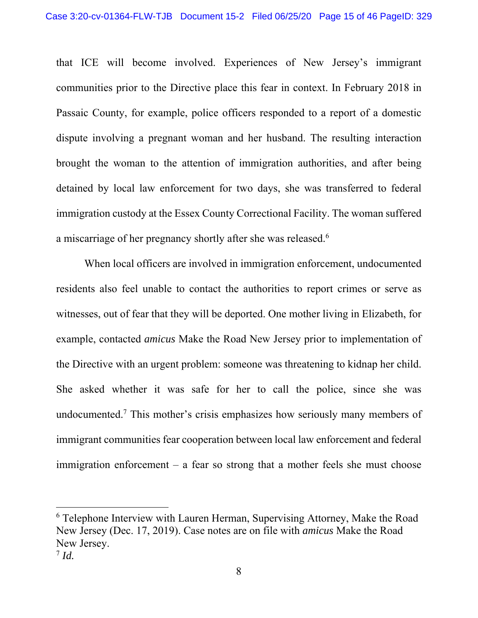that ICE will become involved. Experiences of New Jersey's immigrant communities prior to the Directive place this fear in context. In February 2018 in Passaic County, for example, police officers responded to a report of a domestic dispute involving a pregnant woman and her husband. The resulting interaction brought the woman to the attention of immigration authorities, and after being detained by local law enforcement for two days, she was transferred to federal immigration custody at the Essex County Correctional Facility. The woman suffered a miscarriage of her pregnancy shortly after she was released.<sup>6</sup>

 When local officers are involved in immigration enforcement, undocumented residents also feel unable to contact the authorities to report crimes or serve as witnesses, out of fear that they will be deported. One mother living in Elizabeth, for example, contacted *amicus* Make the Road New Jersey prior to implementation of the Directive with an urgent problem: someone was threatening to kidnap her child. She asked whether it was safe for her to call the police, since she was undocumented.<sup>7</sup> This mother's crisis emphasizes how seriously many members of immigrant communities fear cooperation between local law enforcement and federal immigration enforcement – a fear so strong that a mother feels she must choose

<sup>6</sup> Telephone Interview with Lauren Herman, Supervising Attorney, Make the Road New Jersey (Dec. 17, 2019). Case notes are on file with *amicus* Make the Road New Jersey.

<sup>7</sup> *Id.*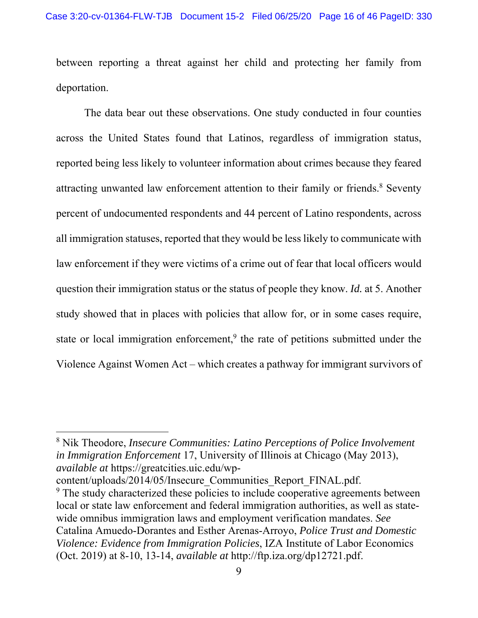between reporting a threat against her child and protecting her family from deportation.

The data bear out these observations. One study conducted in four counties across the United States found that Latinos, regardless of immigration status, reported being less likely to volunteer information about crimes because they feared attracting unwanted law enforcement attention to their family or friends.<sup>8</sup> Seventy percent of undocumented respondents and 44 percent of Latino respondents, across all immigration statuses, reported that they would be less likely to communicate with law enforcement if they were victims of a crime out of fear that local officers would question their immigration status or the status of people they know. *Id.* at 5. Another study showed that in places with policies that allow for, or in some cases require, state or local immigration enforcement,<sup>9</sup> the rate of petitions submitted under the Violence Against Women Act – which creates a pathway for immigrant survivors of

8 Nik Theodore, *Insecure Communities: Latino Perceptions of Police Involvement in Immigration Enforcement* 17, University of Illinois at Chicago (May 2013), *available at* https://greatcities.uic.edu/wp-

content/uploads/2014/05/Insecure\_Communities\_Report\_FINAL.pdf.

<sup>&</sup>lt;sup>9</sup> The study characterized these policies to include cooperative agreements between local or state law enforcement and federal immigration authorities, as well as statewide omnibus immigration laws and employment verification mandates. *See*  Catalina Amuedo-Dorantes and Esther Arenas-Arroyo, *Police Trust and Domestic Violence: Evidence from Immigration Policies*, IZA Institute of Labor Economics (Oct. 2019) at 8-10, 13-14, *available at* http://ftp.iza.org/dp12721.pdf.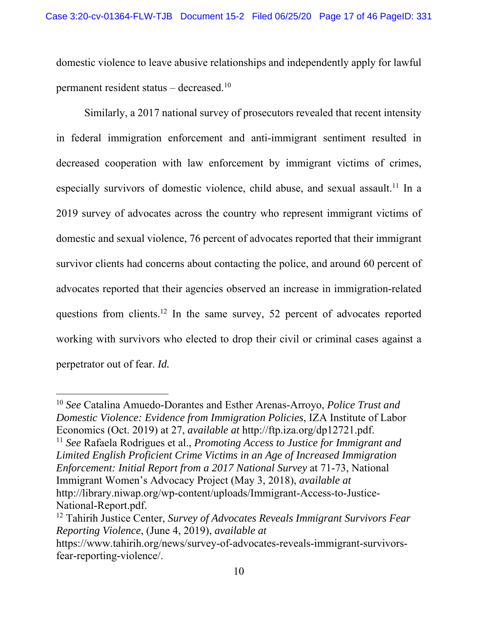domestic violence to leave abusive relationships and independently apply for lawful permanent resident status – decreased.10

Similarly, a 2017 national survey of prosecutors revealed that recent intensity in federal immigration enforcement and anti-immigrant sentiment resulted in decreased cooperation with law enforcement by immigrant victims of crimes, especially survivors of domestic violence, child abuse, and sexual assault.<sup>11</sup> In a 2019 survey of advocates across the country who represent immigrant victims of domestic and sexual violence, 76 percent of advocates reported that their immigrant survivor clients had concerns about contacting the police, and around 60 percent of advocates reported that their agencies observed an increase in immigration-related questions from clients.<sup>12</sup> In the same survey, 52 percent of advocates reported working with survivors who elected to drop their civil or criminal cases against a perpetrator out of fear. *Id.* 

<sup>10</sup> *See* Catalina Amuedo-Dorantes and Esther Arenas-Arroyo, *Police Trust and Domestic Violence: Evidence from Immigration Policies*, IZA Institute of Labor Economics (Oct. 2019) at 27, *available at* http://ftp.iza.org/dp12721.pdf.

<sup>11</sup> *See* Rafaela Rodrigues et al., *Promoting Access to Justice for Immigrant and Limited English Proficient Crime Victims in an Age of Increased Immigration Enforcement: Initial Report from a 2017 National Survey* at 71-73, National Immigrant Women's Advocacy Project (May 3, 2018), *available at* http://library.niwap.org/wp-content/uploads/Immigrant-Access-to-Justice-National-Report.pdf.

<sup>12</sup> Tahirih Justice Center, *Survey of Advocates Reveals Immigrant Survivors Fear Reporting Violence*, (June 4, 2019), *available at* 

https://www.tahirih.org/news/survey-of-advocates-reveals-immigrant-survivorsfear-reporting-violence/.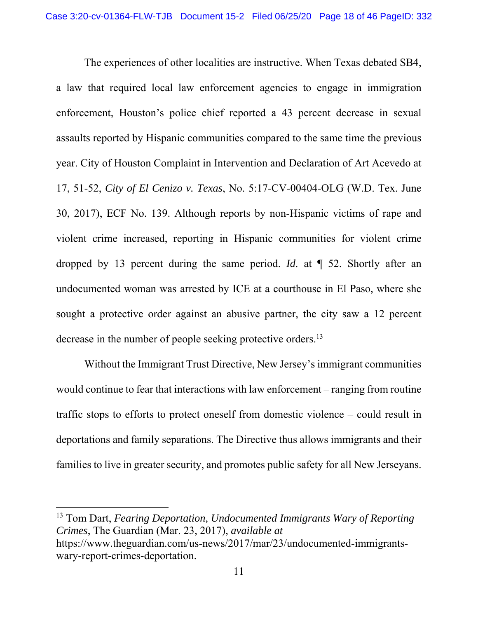The experiences of other localities are instructive. When Texas debated SB4, a law that required local law enforcement agencies to engage in immigration enforcement, Houston's police chief reported a 43 percent decrease in sexual assaults reported by Hispanic communities compared to the same time the previous year. City of Houston Complaint in Intervention and Declaration of Art Acevedo at 17, 51-52, *City of El Cenizo v. Texas*, No. 5:17-CV-00404-OLG (W.D. Tex. June 30, 2017), ECF No. 139. Although reports by non-Hispanic victims of rape and violent crime increased, reporting in Hispanic communities for violent crime dropped by 13 percent during the same period. *Id.* at ¶ 52. Shortly after an undocumented woman was arrested by ICE at a courthouse in El Paso, where she sought a protective order against an abusive partner, the city saw a 12 percent decrease in the number of people seeking protective orders.<sup>13</sup>

Without the Immigrant Trust Directive, New Jersey's immigrant communities would continue to fear that interactions with law enforcement – ranging from routine traffic stops to efforts to protect oneself from domestic violence – could result in deportations and family separations. The Directive thus allows immigrants and their families to live in greater security, and promotes public safety for all New Jerseyans.

13 Tom Dart, *Fearing Deportation, Undocumented Immigrants Wary of Reporting Crimes*, The Guardian (Mar. 23, 2017), *available at* https://www.theguardian.com/us-news/2017/mar/23/undocumented-immigrantswary-report-crimes-deportation.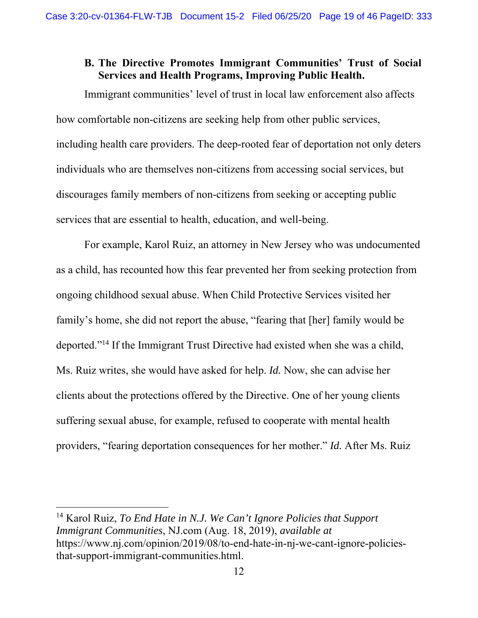### **B. The Directive Promotes Immigrant Communities' Trust of Social Services and Health Programs, Improving Public Health.**

Immigrant communities' level of trust in local law enforcement also affects how comfortable non-citizens are seeking help from other public services, including health care providers. The deep-rooted fear of deportation not only deters individuals who are themselves non-citizens from accessing social services, but discourages family members of non-citizens from seeking or accepting public services that are essential to health, education, and well-being.

 For example, Karol Ruiz, an attorney in New Jersey who was undocumented as a child, has recounted how this fear prevented her from seeking protection from ongoing childhood sexual abuse. When Child Protective Services visited her family's home, she did not report the abuse, "fearing that [her] family would be deported."14 If the Immigrant Trust Directive had existed when she was a child, Ms. Ruiz writes, she would have asked for help. *Id.* Now, she can advise her clients about the protections offered by the Directive. One of her young clients suffering sexual abuse, for example, refused to cooperate with mental health providers, "fearing deportation consequences for her mother." *Id.* After Ms. Ruiz

14 Karol Ruiz, *To End Hate in N.J. We Can't Ignore Policies that Support Immigrant Communities*, NJ.com (Aug. 18, 2019), *available at* https://www.nj.com/opinion/2019/08/to-end-hate-in-nj-we-cant-ignore-policiesthat-support-immigrant-communities.html.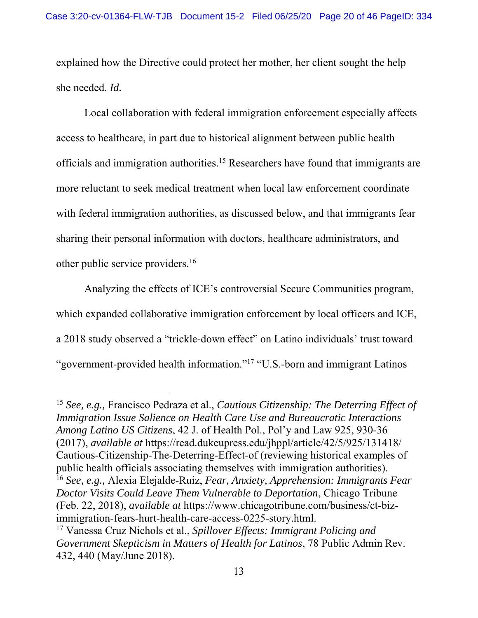explained how the Directive could protect her mother, her client sought the help she needed. *Id.*

 Local collaboration with federal immigration enforcement especially affects access to healthcare, in part due to historical alignment between public health officials and immigration authorities.15 Researchers have found that immigrants are more reluctant to seek medical treatment when local law enforcement coordinate with federal immigration authorities, as discussed below, and that immigrants fear sharing their personal information with doctors, healthcare administrators, and other public service providers.16

 Analyzing the effects of ICE's controversial Secure Communities program, which expanded collaborative immigration enforcement by local officers and ICE, a 2018 study observed a "trickle-down effect" on Latino individuals' trust toward "government-provided health information."17 "U.S.-born and immigrant Latinos

 $\overline{a}$ 

<sup>15</sup> *See, e.g.,* Francisco Pedraza et al., *Cautious Citizenship: The Deterring Effect of Immigration Issue Salience on Health Care Use and Bureaucratic Interactions Among Latino US Citizens*, 42 J. of Health Pol., Pol'y and Law 925, 930-36 (2017), *available at* https://read.dukeupress.edu/jhppl/article/42/5/925/131418/ Cautious-Citizenship-The-Deterring-Effect-of (reviewing historical examples of public health officials associating themselves with immigration authorities). <sup>16</sup> *See, e.g.,* Alexia Elejalde-Ruiz, *Fear, Anxiety, Apprehension: Immigrants Fear Doctor Visits Could Leave Them Vulnerable to Deportation*, Chicago Tribune (Feb. 22, 2018), *available at* https://www.chicagotribune.com/business/ct-bizimmigration-fears-hurt-health-care-access-0225-story.html.

<sup>17</sup> Vanessa Cruz Nichols et al., *Spillover Effects: Immigrant Policing and Government Skepticism in Matters of Health for Latinos*, 78 Public Admin Rev. 432, 440 (May/June 2018).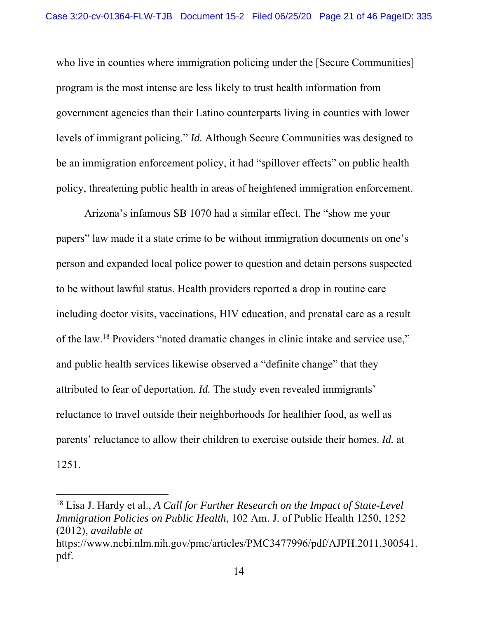who live in counties where immigration policing under the [Secure Communities] program is the most intense are less likely to trust health information from government agencies than their Latino counterparts living in counties with lower levels of immigrant policing." *Id.* Although Secure Communities was designed to be an immigration enforcement policy, it had "spillover effects" on public health policy, threatening public health in areas of heightened immigration enforcement.

 Arizona's infamous SB 1070 had a similar effect. The "show me your papers" law made it a state crime to be without immigration documents on one's person and expanded local police power to question and detain persons suspected to be without lawful status. Health providers reported a drop in routine care including doctor visits, vaccinations, HIV education, and prenatal care as a result of the law.18 Providers "noted dramatic changes in clinic intake and service use," and public health services likewise observed a "definite change" that they attributed to fear of deportation. *Id.* The study even revealed immigrants' reluctance to travel outside their neighborhoods for healthier food, as well as parents' reluctance to allow their children to exercise outside their homes. *Id.* at 1251.

<sup>18</sup> Lisa J. Hardy et al., *A Call for Further Research on the Impact of State-Level Immigration Policies on Public Health*, 102 Am. J. of Public Health 1250, 1252 (2012), *available at* https://www.ncbi.nlm.nih.gov/pmc/articles/PMC3477996/pdf/AJPH.2011.300541. pdf.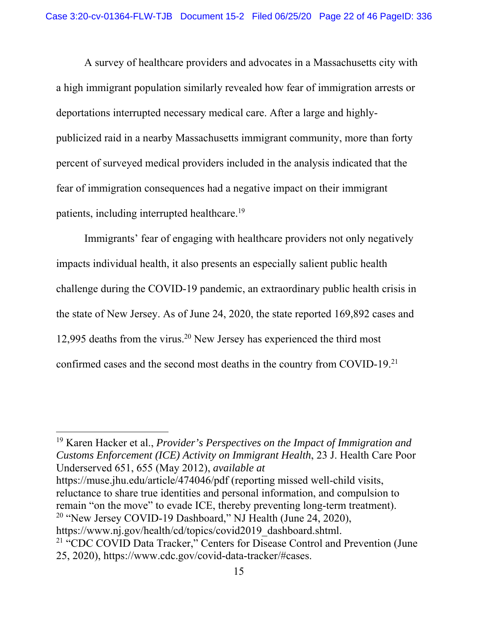A survey of healthcare providers and advocates in a Massachusetts city with a high immigrant population similarly revealed how fear of immigration arrests or deportations interrupted necessary medical care. After a large and highlypublicized raid in a nearby Massachusetts immigrant community, more than forty percent of surveyed medical providers included in the analysis indicated that the fear of immigration consequences had a negative impact on their immigrant patients, including interrupted healthcare.19

 Immigrants' fear of engaging with healthcare providers not only negatively impacts individual health, it also presents an especially salient public health challenge during the COVID-19 pandemic, an extraordinary public health crisis in the state of New Jersey. As of June 24, 2020, the state reported 169,892 cases and 12,995 deaths from the virus.<sup>20</sup> New Jersey has experienced the third most confirmed cases and the second most deaths in the country from COVID-19.21

19 Karen Hacker et al., *Provider's Perspectives on the Impact of Immigration and Customs Enforcement (ICE) Activity on Immigrant Health*, 23 J. Health Care Poor Underserved 651, 655 (May 2012), *available at*

 $\overline{a}$ 

https://muse.jhu.edu/article/474046/pdf (reporting missed well-child visits, reluctance to share true identities and personal information, and compulsion to remain "on the move" to evade ICE, thereby preventing long-term treatment). <sup>20</sup> "New Jersey COVID-19 Dashboard," NJ Health (June 24, 2020),

https://www.nj.gov/health/cd/topics/covid2019\_dashboard.shtml. <sup>21</sup> "CDC COVID Data Tracker," Centers for Disease Control and Prevention (June 25, 2020), https://www.cdc.gov/covid-data-tracker/#cases.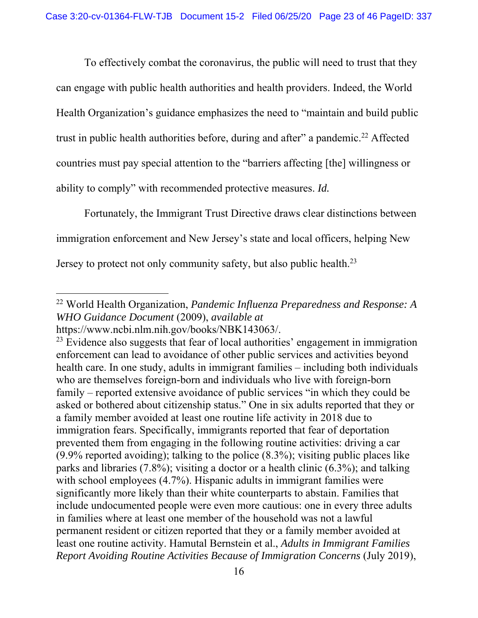To effectively combat the coronavirus, the public will need to trust that they can engage with public health authorities and health providers. Indeed, the World Health Organization's guidance emphasizes the need to "maintain and build public trust in public health authorities before, during and after" a pandemic.<sup>22</sup> Affected countries must pay special attention to the "barriers affecting [the] willingness or ability to comply" with recommended protective measures. *Id.* 

 Fortunately, the Immigrant Trust Directive draws clear distinctions between immigration enforcement and New Jersey's state and local officers, helping New Jersey to protect not only community safety, but also public health.<sup>23</sup>

 $\overline{a}$ 22 World Health Organization, *Pandemic Influenza Preparedness and Response: A WHO Guidance Document* (2009), *available at*

https://www.ncbi.nlm.nih.gov/books/NBK143063/.

 $23$  Evidence also suggests that fear of local authorities' engagement in immigration enforcement can lead to avoidance of other public services and activities beyond health care. In one study, adults in immigrant families – including both individuals who are themselves foreign-born and individuals who live with foreign-born family – reported extensive avoidance of public services "in which they could be asked or bothered about citizenship status." One in six adults reported that they or a family member avoided at least one routine life activity in 2018 due to immigration fears. Specifically, immigrants reported that fear of deportation prevented them from engaging in the following routine activities: driving a car (9.9% reported avoiding); talking to the police (8.3%); visiting public places like parks and libraries (7.8%); visiting a doctor or a health clinic (6.3%); and talking with school employees (4.7%). Hispanic adults in immigrant families were significantly more likely than their white counterparts to abstain. Families that include undocumented people were even more cautious: one in every three adults in families where at least one member of the household was not a lawful permanent resident or citizen reported that they or a family member avoided at least one routine activity. Hamutal Bernstein et al., *Adults in Immigrant Families Report Avoiding Routine Activities Because of Immigration Concerns* (July 2019),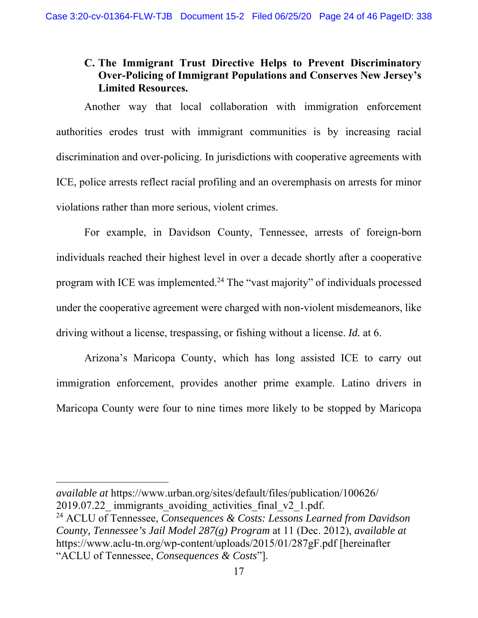# **C. The Immigrant Trust Directive Helps to Prevent Discriminatory Over-Policing of Immigrant Populations and Conserves New Jersey's Limited Resources.**

Another way that local collaboration with immigration enforcement authorities erodes trust with immigrant communities is by increasing racial discrimination and over-policing. In jurisdictions with cooperative agreements with ICE, police arrests reflect racial profiling and an overemphasis on arrests for minor violations rather than more serious, violent crimes.

For example, in Davidson County, Tennessee, arrests of foreign-born individuals reached their highest level in over a decade shortly after a cooperative program with ICE was implemented.24 The "vast majority" of individuals processed under the cooperative agreement were charged with non-violent misdemeanors, like driving without a license, trespassing, or fishing without a license. *Id.* at 6.

Arizona's Maricopa County, which has long assisted ICE to carry out immigration enforcement, provides another prime example. Latino drivers in Maricopa County were four to nine times more likely to be stopped by Maricopa

*available at* https://www.urban.org/sites/default/files/publication/100626/ 2019.07.22 immigrants avoiding activities final v2 1.pdf.

<sup>24</sup> ACLU of Tennessee, *Consequences & Costs: Lessons Learned from Davidson County, Tennessee's Jail Model 287(g) Program* at 11 (Dec. 2012), *available at* https://www.aclu-tn.org/wp-content/uploads/2015/01/287gF.pdf [hereinafter "ACLU of Tennessee, *Consequences & Costs*"].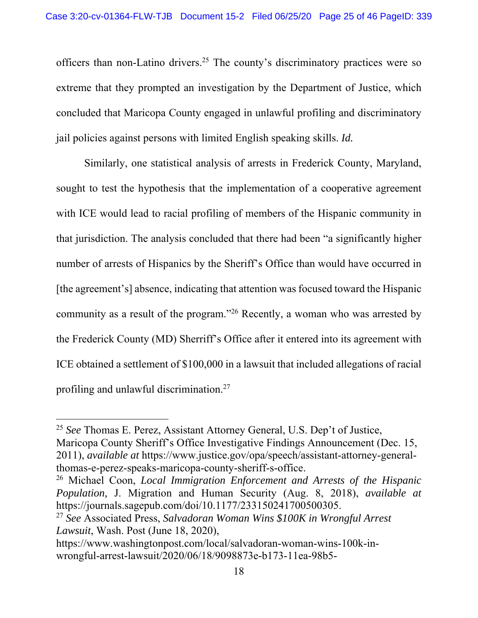officers than non-Latino drivers.25 The county's discriminatory practices were so extreme that they prompted an investigation by the Department of Justice, which concluded that Maricopa County engaged in unlawful profiling and discriminatory jail policies against persons with limited English speaking skills. *Id.* 

Similarly, one statistical analysis of arrests in Frederick County, Maryland, sought to test the hypothesis that the implementation of a cooperative agreement with ICE would lead to racial profiling of members of the Hispanic community in that jurisdiction. The analysis concluded that there had been "a significantly higher number of arrests of Hispanics by the Sheriff's Office than would have occurred in [the agreement's] absence, indicating that attention was focused toward the Hispanic community as a result of the program."26 Recently, a woman who was arrested by the Frederick County (MD) Sherriff's Office after it entered into its agreement with ICE obtained a settlement of \$100,000 in a lawsuit that included allegations of racial profiling and unlawful discrimination.27

<sup>25</sup> *See* Thomas E. Perez, Assistant Attorney General, U.S. Dep't of Justice, Maricopa County Sheriff's Office Investigative Findings Announcement (Dec. 15, 2011), *available at* https://www.justice.gov/opa/speech/assistant-attorney-generalthomas-e-perez-speaks-maricopa-county-sheriff-s-office.

<sup>26</sup> Michael Coon, *Local Immigration Enforcement and Arrests of the Hispanic Population,* J. Migration and Human Security (Aug. 8, 2018), *available at* https://journals.sagepub.com/doi/10.1177/233150241700500305.

<sup>27</sup> *See* Associated Press, *Salvadoran Woman Wins \$100K in Wrongful Arrest Lawsuit*, Wash. Post (June 18, 2020),

https://www.washingtonpost.com/local/salvadoran-woman-wins-100k-inwrongful-arrest-lawsuit/2020/06/18/9098873e-b173-11ea-98b5-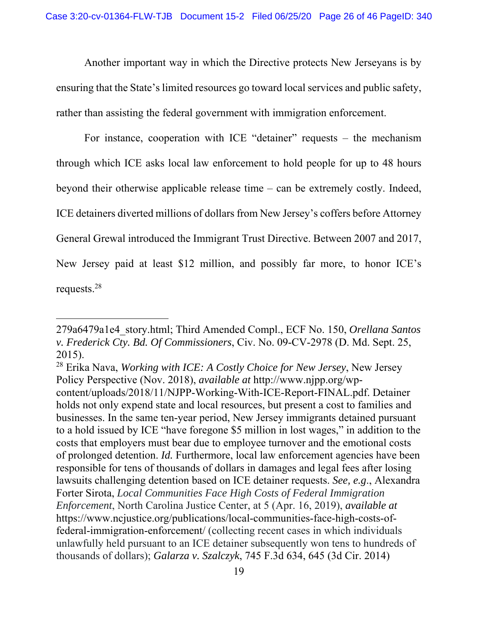Another important way in which the Directive protects New Jerseyans is by ensuring that the State's limited resources go toward local services and public safety, rather than assisting the federal government with immigration enforcement.

 For instance, cooperation with ICE "detainer" requests – the mechanism through which ICE asks local law enforcement to hold people for up to 48 hours beyond their otherwise applicable release time – can be extremely costly. Indeed, ICE detainers diverted millions of dollars from New Jersey's coffers before Attorney General Grewal introduced the Immigrant Trust Directive. Between 2007 and 2017, New Jersey paid at least \$12 million, and possibly far more, to honor ICE's requests.28

<sup>279</sup>a6479a1e4\_story.html; Third Amended Compl., ECF No. 150, *Orellana Santos v. Frederick Cty. Bd. Of Commissioners*, Civ. No. 09-CV-2978 (D. Md. Sept. 25, 2015).

<sup>28</sup> Erika Nava, *Working with ICE: A Costly Choice for New Jersey*, New Jersey Policy Perspective (Nov. 2018), *available at* http://www.njpp.org/wpcontent/uploads/2018/11/NJPP-Working-With-ICE-Report-FINAL.pdf. Detainer holds not only expend state and local resources, but present a cost to families and businesses. In the same ten-year period, New Jersey immigrants detained pursuant to a hold issued by ICE "have foregone \$5 million in lost wages," in addition to the costs that employers must bear due to employee turnover and the emotional costs of prolonged detention. *Id.* Furthermore, local law enforcement agencies have been responsible for tens of thousands of dollars in damages and legal fees after losing lawsuits challenging detention based on ICE detainer requests. *See, e.g*., Alexandra Forter Sirota, *Local Communities Face High Costs of Federal Immigration Enforcement*, North Carolina Justice Center, at 5 (Apr. 16, 2019), *available at* https://www.ncjustice.org/publications/local-communities-face-high-costs-offederal-immigration-enforcement/ (collecting recent cases in which individuals unlawfully held pursuant to an ICE detainer subsequently won tens to hundreds of thousands of dollars); *Galarza v. Szalczyk*, 745 F.3d 634, 645 (3d Cir. 2014)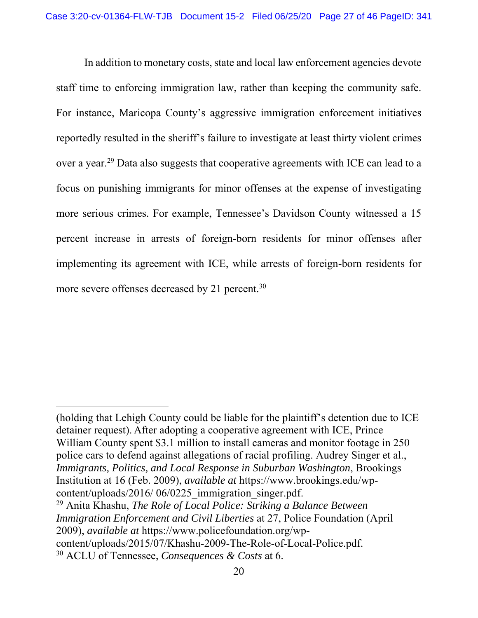In addition to monetary costs, state and local law enforcement agencies devote staff time to enforcing immigration law, rather than keeping the community safe. For instance, Maricopa County's aggressive immigration enforcement initiatives reportedly resulted in the sheriff's failure to investigate at least thirty violent crimes over a year.29 Data also suggests that cooperative agreements with ICE can lead to a focus on punishing immigrants for minor offenses at the expense of investigating more serious crimes. For example, Tennessee's Davidson County witnessed a 15 percent increase in arrests of foreign-born residents for minor offenses after implementing its agreement with ICE, while arrests of foreign-born residents for more severe offenses decreased by 21 percent.<sup>30</sup>

 $\overline{a}$ 

29 Anita Khashu, *The Role of Local Police: Striking a Balance Between Immigration Enforcement and Civil Liberties* at 27, Police Foundation (April 2009), *available at* https://www.policefoundation.org/wpcontent/uploads/2015/07/Khashu-2009-The-Role-of-Local-Police.pdf. 30 ACLU of Tennessee, *Consequences & Costs* at 6.

<sup>(</sup>holding that Lehigh County could be liable for the plaintiff's detention due to ICE detainer request). After adopting a cooperative agreement with ICE, Prince William County spent \$3.1 million to install cameras and monitor footage in 250 police cars to defend against allegations of racial profiling. Audrey Singer et al., *Immigrants, Politics, and Local Response in Suburban Washington*, Brookings Institution at 16 (Feb. 2009), *available at* https://www.brookings.edu/wpcontent/uploads/2016/ 06/0225\_immigration\_singer.pdf.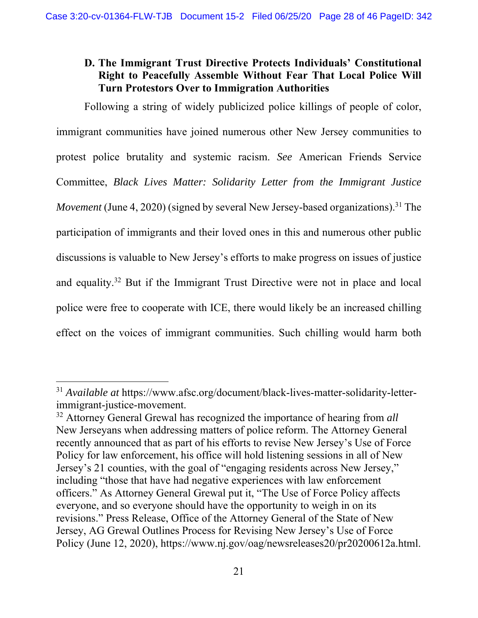# **D. The Immigrant Trust Directive Protects Individuals' Constitutional Right to Peacefully Assemble Without Fear That Local Police Will Turn Protestors Over to Immigration Authorities**

Following a string of widely publicized police killings of people of color, immigrant communities have joined numerous other New Jersey communities to protest police brutality and systemic racism. *See* American Friends Service Committee, *Black Lives Matter: Solidarity Letter from the Immigrant Justice Movement* (June 4, 2020) (signed by several New Jersey-based organizations).<sup>31</sup> The participation of immigrants and their loved ones in this and numerous other public discussions is valuable to New Jersey's efforts to make progress on issues of justice and equality.32 But if the Immigrant Trust Directive were not in place and local police were free to cooperate with ICE, there would likely be an increased chilling effect on the voices of immigrant communities. Such chilling would harm both

<sup>31</sup> *Available at* https://www.afsc.org/document/black-lives-matter-solidarity-letterimmigrant-justice-movement.

<sup>32</sup> Attorney General Grewal has recognized the importance of hearing from *all*  New Jerseyans when addressing matters of police reform. The Attorney General recently announced that as part of his efforts to revise New Jersey's Use of Force Policy for law enforcement, his office will hold listening sessions in all of New Jersey's 21 counties, with the goal of "engaging residents across New Jersey," including "those that have had negative experiences with law enforcement officers." As Attorney General Grewal put it, "The Use of Force Policy affects everyone, and so everyone should have the opportunity to weigh in on its revisions." Press Release, Office of the Attorney General of the State of New Jersey, AG Grewal Outlines Process for Revising New Jersey's Use of Force Policy (June 12, 2020), https://www.nj.gov/oag/newsreleases20/pr20200612a.html.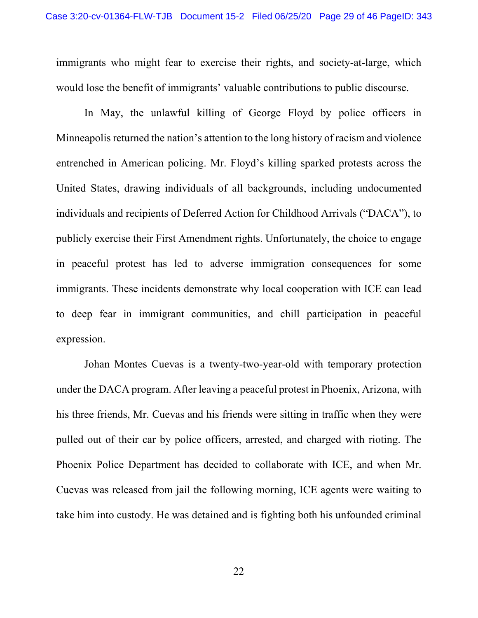immigrants who might fear to exercise their rights, and society-at-large, which would lose the benefit of immigrants' valuable contributions to public discourse.

 In May, the unlawful killing of George Floyd by police officers in Minneapolis returned the nation's attention to the long history of racism and violence entrenched in American policing. Mr. Floyd's killing sparked protests across the United States, drawing individuals of all backgrounds, including undocumented individuals and recipients of Deferred Action for Childhood Arrivals ("DACA"), to publicly exercise their First Amendment rights. Unfortunately, the choice to engage in peaceful protest has led to adverse immigration consequences for some immigrants. These incidents demonstrate why local cooperation with ICE can lead to deep fear in immigrant communities, and chill participation in peaceful expression.

 Johan Montes Cuevas is a twenty-two-year-old with temporary protection under the DACA program. After leaving a peaceful protest in Phoenix, Arizona, with his three friends, Mr. Cuevas and his friends were sitting in traffic when they were pulled out of their car by police officers, arrested, and charged with rioting. The Phoenix Police Department has decided to collaborate with ICE, and when Mr. Cuevas was released from jail the following morning, ICE agents were waiting to take him into custody. He was detained and is fighting both his unfounded criminal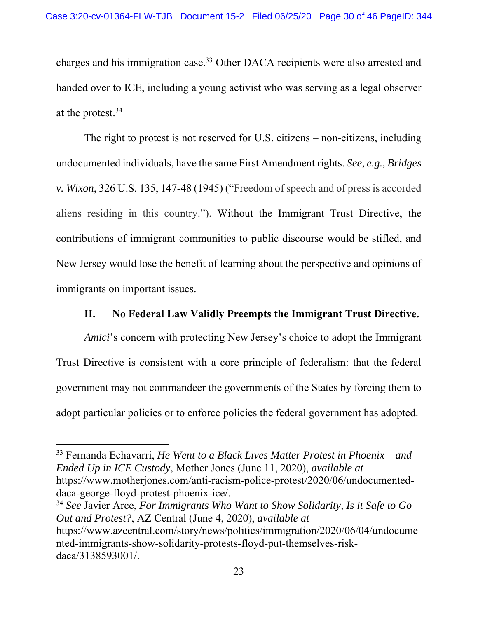charges and his immigration case.33 Other DACA recipients were also arrested and handed over to ICE, including a young activist who was serving as a legal observer at the protest.34

 The right to protest is not reserved for U.S. citizens – non-citizens, including undocumented individuals, have the same First Amendment rights. *See, e.g., Bridges v. Wixon*, 326 U.S. 135, 147-48 (1945) ("Freedom of speech and of press is accorded aliens residing in this country."). Without the Immigrant Trust Directive, the contributions of immigrant communities to public discourse would be stifled, and New Jersey would lose the benefit of learning about the perspective and opinions of immigrants on important issues.

#### **II. No Federal Law Validly Preempts the Immigrant Trust Directive.**

*Amici*'s concern with protecting New Jersey's choice to adopt the Immigrant Trust Directive is consistent with a core principle of federalism: that the federal government may not commandeer the governments of the States by forcing them to adopt particular policies or to enforce policies the federal government has adopted.

 $\overline{a}$ 

<sup>34</sup> *See* Javier Arce, *For Immigrants Who Want to Show Solidarity, Is it Safe to Go Out and Protest?*, AZ Central (June 4, 2020), *available at* https://www.azcentral.com/story/news/politics/immigration/2020/06/04/undocume nted-immigrants-show-solidarity-protests-floyd-put-themselves-riskdaca/3138593001/.

<sup>33</sup> Fernanda Echavarri, *He Went to a Black Lives Matter Protest in Phoenix – and Ended Up in ICE Custody*, Mother Jones (June 11, 2020), *available at* https://www.motherjones.com/anti-racism-police-protest/2020/06/undocumenteddaca-george-floyd-protest-phoenix-ice/.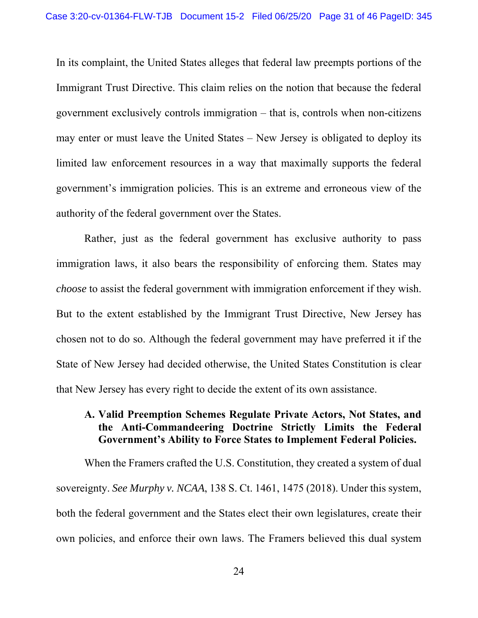In its complaint, the United States alleges that federal law preempts portions of the Immigrant Trust Directive. This claim relies on the notion that because the federal government exclusively controls immigration – that is, controls when non-citizens may enter or must leave the United States – New Jersey is obligated to deploy its limited law enforcement resources in a way that maximally supports the federal government's immigration policies. This is an extreme and erroneous view of the authority of the federal government over the States.

Rather, just as the federal government has exclusive authority to pass immigration laws, it also bears the responsibility of enforcing them. States may *choose* to assist the federal government with immigration enforcement if they wish. But to the extent established by the Immigrant Trust Directive, New Jersey has chosen not to do so. Although the federal government may have preferred it if the State of New Jersey had decided otherwise, the United States Constitution is clear that New Jersey has every right to decide the extent of its own assistance.

### **A. Valid Preemption Schemes Regulate Private Actors, Not States, and the Anti-Commandeering Doctrine Strictly Limits the Federal Government's Ability to Force States to Implement Federal Policies.**

When the Framers crafted the U.S. Constitution, they created a system of dual sovereignty. *See Murphy v. NCAA*, 138 S. Ct. 1461, 1475 (2018). Under this system, both the federal government and the States elect their own legislatures, create their own policies, and enforce their own laws. The Framers believed this dual system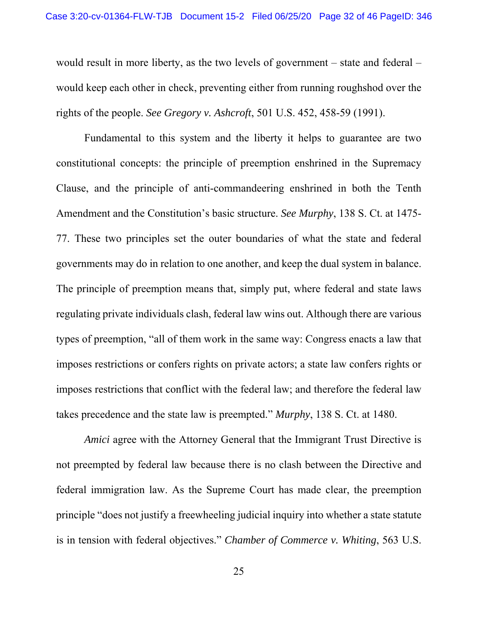would result in more liberty, as the two levels of government – state and federal – would keep each other in check, preventing either from running roughshod over the rights of the people. *See Gregory v. Ashcroft*, 501 U.S. 452, 458-59 (1991).

Fundamental to this system and the liberty it helps to guarantee are two constitutional concepts: the principle of preemption enshrined in the Supremacy Clause, and the principle of anti-commandeering enshrined in both the Tenth Amendment and the Constitution's basic structure. *See Murphy*, 138 S. Ct. at 1475- 77. These two principles set the outer boundaries of what the state and federal governments may do in relation to one another, and keep the dual system in balance. The principle of preemption means that, simply put, where federal and state laws regulating private individuals clash, federal law wins out. Although there are various types of preemption, "all of them work in the same way: Congress enacts a law that imposes restrictions or confers rights on private actors; a state law confers rights or imposes restrictions that conflict with the federal law; and therefore the federal law takes precedence and the state law is preempted." *Murphy*, 138 S. Ct. at 1480.

*Amici* agree with the Attorney General that the Immigrant Trust Directive is not preempted by federal law because there is no clash between the Directive and federal immigration law. As the Supreme Court has made clear, the preemption principle "does not justify a freewheeling judicial inquiry into whether a state statute is in tension with federal objectives." *Chamber of Commerce v. Whiting*, 563 U.S.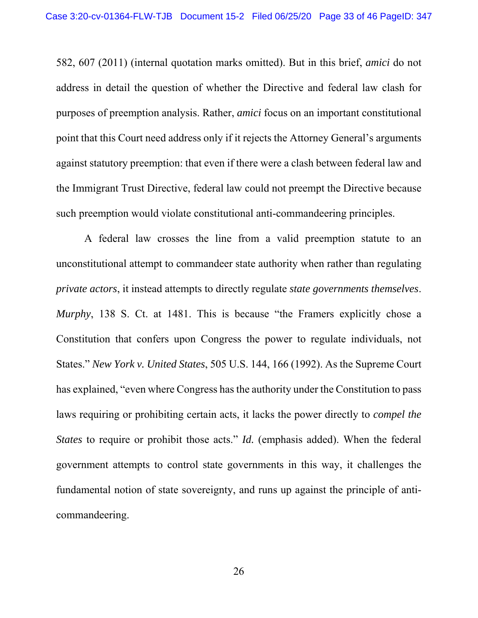582, 607 (2011) (internal quotation marks omitted). But in this brief, *amici* do not address in detail the question of whether the Directive and federal law clash for purposes of preemption analysis. Rather, *amici* focus on an important constitutional point that this Court need address only if it rejects the Attorney General's arguments against statutory preemption: that even if there were a clash between federal law and the Immigrant Trust Directive, federal law could not preempt the Directive because such preemption would violate constitutional anti-commandeering principles.

A federal law crosses the line from a valid preemption statute to an unconstitutional attempt to commandeer state authority when rather than regulating *private actors*, it instead attempts to directly regulate *state governments themselves*. *Murphy*, 138 S. Ct. at 1481. This is because "the Framers explicitly chose a Constitution that confers upon Congress the power to regulate individuals, not States." *New York v. United States*, 505 U.S. 144, 166 (1992). As the Supreme Court has explained, "even where Congress has the authority under the Constitution to pass laws requiring or prohibiting certain acts, it lacks the power directly to *compel the States* to require or prohibit those acts." *Id.* (emphasis added). When the federal government attempts to control state governments in this way, it challenges the fundamental notion of state sovereignty, and runs up against the principle of anticommandeering.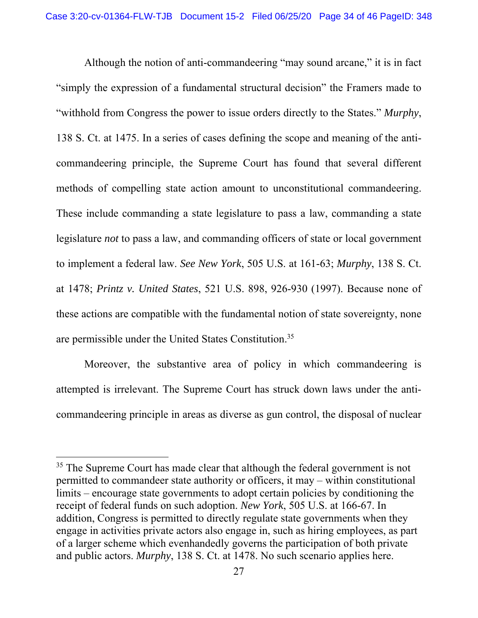Although the notion of anti-commandeering "may sound arcane," it is in fact "simply the expression of a fundamental structural decision" the Framers made to "withhold from Congress the power to issue orders directly to the States." *Murphy*, 138 S. Ct. at 1475. In a series of cases defining the scope and meaning of the anticommandeering principle, the Supreme Court has found that several different methods of compelling state action amount to unconstitutional commandeering. These include commanding a state legislature to pass a law, commanding a state legislature *not* to pass a law, and commanding officers of state or local government to implement a federal law. *See New York*, 505 U.S. at 161-63; *Murphy*, 138 S. Ct. at 1478; *Printz v. United States*, 521 U.S. 898, 926-930 (1997). Because none of these actions are compatible with the fundamental notion of state sovereignty, none are permissible under the United States Constitution.35

Moreover, the substantive area of policy in which commandeering is attempted is irrelevant. The Supreme Court has struck down laws under the anticommandeering principle in areas as diverse as gun control, the disposal of nuclear

 $35$  The Supreme Court has made clear that although the federal government is not permitted to commandeer state authority or officers, it may – within constitutional limits – encourage state governments to adopt certain policies by conditioning the receipt of federal funds on such adoption. *New York*, 505 U.S. at 166-67. In addition, Congress is permitted to directly regulate state governments when they engage in activities private actors also engage in, such as hiring employees, as part of a larger scheme which evenhandedly governs the participation of both private and public actors. *Murphy*, 138 S. Ct. at 1478. No such scenario applies here.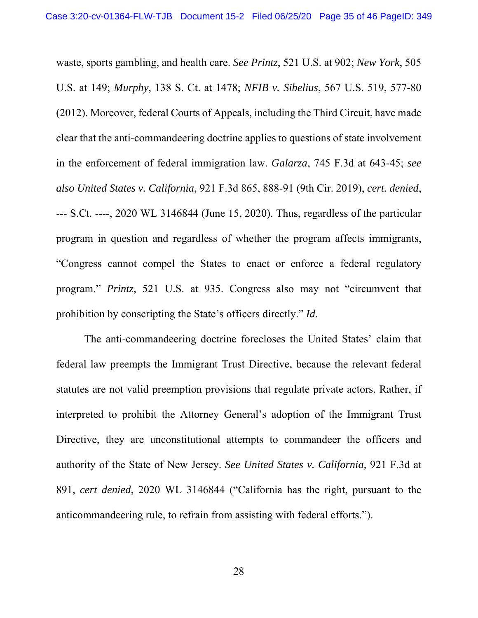waste, sports gambling, and health care. *See Printz*, 521 U.S. at 902; *New York*, 505 U.S. at 149; *Murphy*, 138 S. Ct. at 1478; *NFIB v. Sibelius*, 567 U.S. 519, 577-80 (2012). Moreover, federal Courts of Appeals, including the Third Circuit, have made clear that the anti-commandeering doctrine applies to questions of state involvement in the enforcement of federal immigration law. *Galarza*, 745 F.3d at 643-45; *see also United States v. California*, 921 F.3d 865, 888-91 (9th Cir. 2019), *cert. denied*, --- S.Ct. ----, 2020 WL 3146844 (June 15, 2020). Thus, regardless of the particular program in question and regardless of whether the program affects immigrants, "Congress cannot compel the States to enact or enforce a federal regulatory program." *Printz*, 521 U.S. at 935. Congress also may not "circumvent that prohibition by conscripting the State's officers directly." *Id*.

The anti-commandeering doctrine forecloses the United States' claim that federal law preempts the Immigrant Trust Directive, because the relevant federal statutes are not valid preemption provisions that regulate private actors. Rather, if interpreted to prohibit the Attorney General's adoption of the Immigrant Trust Directive, they are unconstitutional attempts to commandeer the officers and authority of the State of New Jersey. *See United States v. California*, 921 F.3d at 891, *cert denied*, 2020 WL 3146844 ("California has the right, pursuant to the anticommandeering rule, to refrain from assisting with federal efforts.").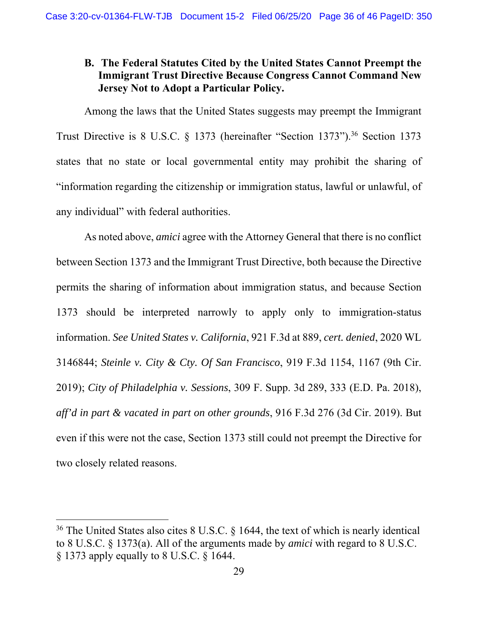# **B. The Federal Statutes Cited by the United States Cannot Preempt the Immigrant Trust Directive Because Congress Cannot Command New Jersey Not to Adopt a Particular Policy.**

Among the laws that the United States suggests may preempt the Immigrant Trust Directive is 8 U.S.C. § 1373 (hereinafter "Section 1373"). 36 Section 1373 states that no state or local governmental entity may prohibit the sharing of "information regarding the citizenship or immigration status, lawful or unlawful, of any individual" with federal authorities.

As noted above, *amici* agree with the Attorney General that there is no conflict between Section 1373 and the Immigrant Trust Directive, both because the Directive permits the sharing of information about immigration status, and because Section 1373 should be interpreted narrowly to apply only to immigration-status information. *See United States v. California*, 921 F.3d at 889, *cert. denied*, 2020 WL 3146844; *Steinle v. City & Cty. Of San Francisco*, 919 F.3d 1154, 1167 (9th Cir. 2019); *City of Philadelphia v. Sessions*, 309 F. Supp. 3d 289, 333 (E.D. Pa. 2018), *aff'd in part & vacated in part on other grounds*, 916 F.3d 276 (3d Cir. 2019). But even if this were not the case, Section 1373 still could not preempt the Directive for two closely related reasons.

<sup>&</sup>lt;sup>36</sup> The United States also cites 8 U.S.C. § 1644, the text of which is nearly identical to 8 U.S.C. § 1373(a). All of the arguments made by *amici* with regard to 8 U.S.C. § 1373 apply equally to 8 U.S.C. § 1644.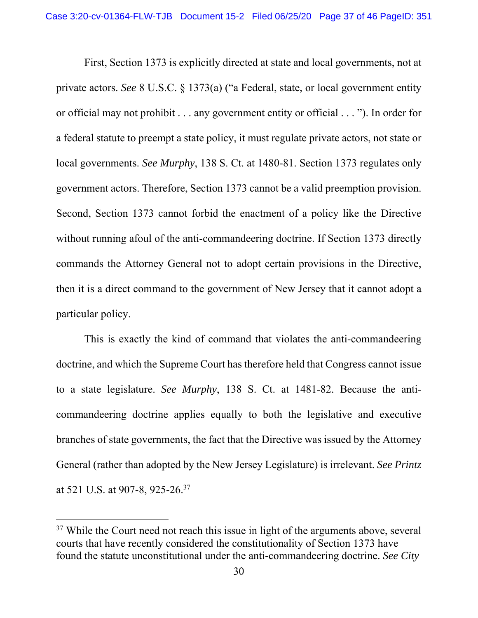First, Section 1373 is explicitly directed at state and local governments, not at private actors. *See* 8 U.S.C. § 1373(a) ("a Federal, state, or local government entity or official may not prohibit . . . any government entity or official . . . "). In order for a federal statute to preempt a state policy, it must regulate private actors, not state or local governments. *See Murphy*, 138 S. Ct. at 1480-81. Section 1373 regulates only government actors. Therefore, Section 1373 cannot be a valid preemption provision. Second, Section 1373 cannot forbid the enactment of a policy like the Directive without running afoul of the anti-commandeering doctrine. If Section 1373 directly commands the Attorney General not to adopt certain provisions in the Directive, then it is a direct command to the government of New Jersey that it cannot adopt a particular policy.

This is exactly the kind of command that violates the anti-commandeering doctrine, and which the Supreme Court has therefore held that Congress cannot issue to a state legislature. *See Murphy*, 138 S. Ct. at 1481-82. Because the anticommandeering doctrine applies equally to both the legislative and executive branches of state governments, the fact that the Directive was issued by the Attorney General (rather than adopted by the New Jersey Legislature) is irrelevant. *See Printz* at 521 U.S. at 907-8, 925-26.37

 $37$  While the Court need not reach this issue in light of the arguments above, several courts that have recently considered the constitutionality of Section 1373 have found the statute unconstitutional under the anti-commandeering doctrine. *See City*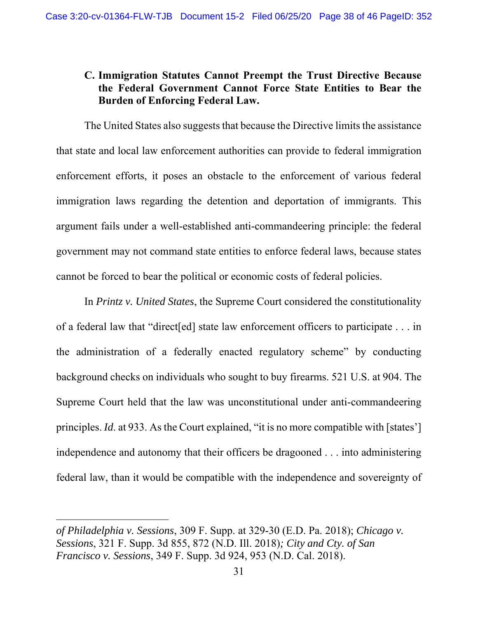# **C. Immigration Statutes Cannot Preempt the Trust Directive Because the Federal Government Cannot Force State Entities to Bear the Burden of Enforcing Federal Law.**

The United States also suggests that because the Directive limits the assistance that state and local law enforcement authorities can provide to federal immigration enforcement efforts, it poses an obstacle to the enforcement of various federal immigration laws regarding the detention and deportation of immigrants. This argument fails under a well-established anti-commandeering principle: the federal government may not command state entities to enforce federal laws, because states cannot be forced to bear the political or economic costs of federal policies.

In *Printz v. United States*, the Supreme Court considered the constitutionality of a federal law that "direct[ed] state law enforcement officers to participate . . . in the administration of a federally enacted regulatory scheme" by conducting background checks on individuals who sought to buy firearms. 521 U.S. at 904. The Supreme Court held that the law was unconstitutional under anti-commandeering principles. *Id*. at 933. As the Court explained, "it is no more compatible with [states'] independence and autonomy that their officers be dragooned . . . into administering federal law, than it would be compatible with the independence and sovereignty of

*of Philadelphia v. Sessions*, 309 F. Supp. at 329-30 (E.D. Pa. 2018); *Chicago v. Sessions*, 321 F. Supp. 3d 855, 872 (N.D. Ill. 2018)*; City and Cty. of San Francisco v. Sessions*, 349 F. Supp. 3d 924, 953 (N.D. Cal. 2018).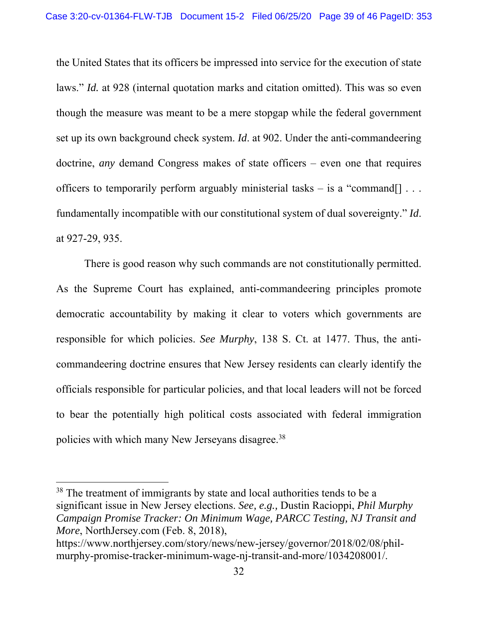the United States that its officers be impressed into service for the execution of state laws." *Id.* at 928 (internal quotation marks and citation omitted). This was so even though the measure was meant to be a mere stopgap while the federal government set up its own background check system. *Id*. at 902. Under the anti-commandeering doctrine, *any* demand Congress makes of state officers – even one that requires officers to temporarily perform arguably ministerial tasks – is a "command... fundamentally incompatible with our constitutional system of dual sovereignty." *Id*. at 927-29, 935.

There is good reason why such commands are not constitutionally permitted. As the Supreme Court has explained, anti-commandeering principles promote democratic accountability by making it clear to voters which governments are responsible for which policies. *See Murphy*, 138 S. Ct. at 1477. Thus, the anticommandeering doctrine ensures that New Jersey residents can clearly identify the officials responsible for particular policies, and that local leaders will not be forced to bear the potentially high political costs associated with federal immigration policies with which many New Jerseyans disagree.38

<sup>&</sup>lt;sup>38</sup> The treatment of immigrants by state and local authorities tends to be a significant issue in New Jersey elections. *See, e.g.,* Dustin Racioppi, *Phil Murphy Campaign Promise Tracker: On Minimum Wage, PARCC Testing, NJ Transit and More*, NorthJersey.com (Feb. 8, 2018),

https://www.northjersey.com/story/news/new-jersey/governor/2018/02/08/philmurphy-promise-tracker-minimum-wage-nj-transit-and-more/1034208001/.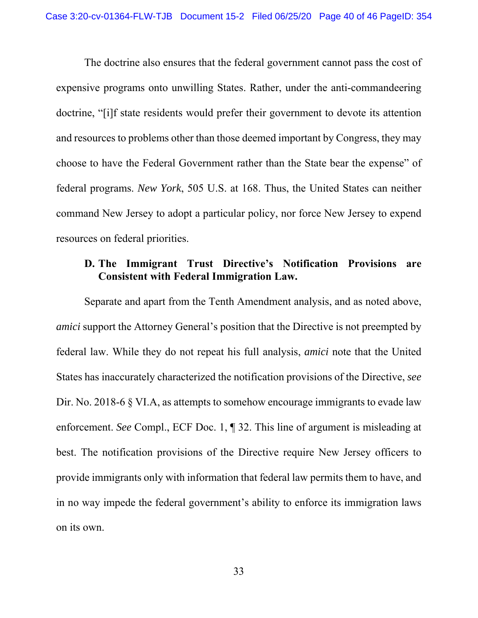The doctrine also ensures that the federal government cannot pass the cost of expensive programs onto unwilling States. Rather, under the anti-commandeering doctrine, "[i]f state residents would prefer their government to devote its attention and resources to problems other than those deemed important by Congress, they may choose to have the Federal Government rather than the State bear the expense" of federal programs. *New York*, 505 U.S. at 168. Thus, the United States can neither command New Jersey to adopt a particular policy, nor force New Jersey to expend resources on federal priorities.

## **D. The Immigrant Trust Directive's Notification Provisions are Consistent with Federal Immigration Law.**

Separate and apart from the Tenth Amendment analysis, and as noted above, *amici* support the Attorney General's position that the Directive is not preempted by federal law. While they do not repeat his full analysis, *amici* note that the United States has inaccurately characterized the notification provisions of the Directive, *see* Dir. No. 2018-6 § VI.A, as attempts to somehow encourage immigrants to evade law enforcement. *See* Compl., ECF Doc. 1, ¶ 32. This line of argument is misleading at best. The notification provisions of the Directive require New Jersey officers to provide immigrants only with information that federal law permits them to have, and in no way impede the federal government's ability to enforce its immigration laws on its own.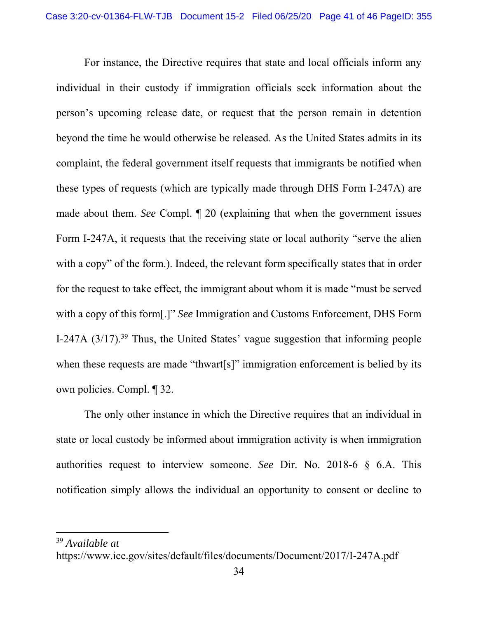For instance, the Directive requires that state and local officials inform any individual in their custody if immigration officials seek information about the person's upcoming release date, or request that the person remain in detention beyond the time he would otherwise be released. As the United States admits in its complaint, the federal government itself requests that immigrants be notified when these types of requests (which are typically made through DHS Form I-247A) are made about them. *See* Compl. ¶ 20 (explaining that when the government issues Form I-247A, it requests that the receiving state or local authority "serve the alien with a copy" of the form.). Indeed, the relevant form specifically states that in order for the request to take effect, the immigrant about whom it is made "must be served with a copy of this form[.]" *See* Immigration and Customs Enforcement, DHS Form I-247A  $(3/17)$ .<sup>39</sup> Thus, the United States' vague suggestion that informing people when these requests are made "thwart[s]" immigration enforcement is belied by its own policies. Compl. ¶ 32.

The only other instance in which the Directive requires that an individual in state or local custody be informed about immigration activity is when immigration authorities request to interview someone. *See* Dir. No. 2018-6 § 6.A. This notification simply allows the individual an opportunity to consent or decline to

<sup>39</sup> *Available at* 

https://www.ice.gov/sites/default/files/documents/Document/2017/I-247A.pdf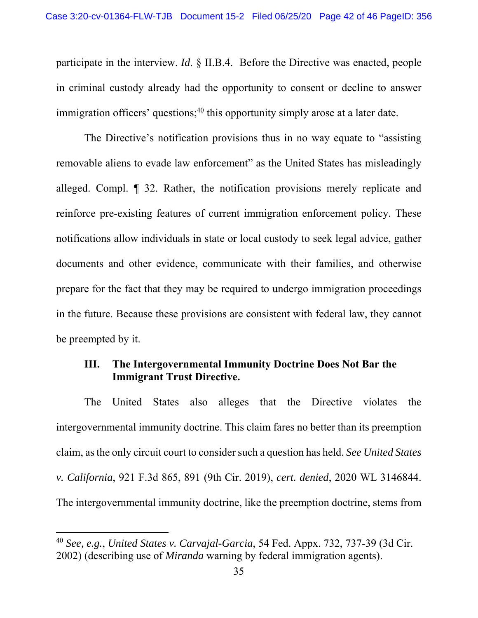participate in the interview. *Id*. § II.B.4. Before the Directive was enacted, people in criminal custody already had the opportunity to consent or decline to answer immigration officers' questions;<sup>40</sup> this opportunity simply arose at a later date.

The Directive's notification provisions thus in no way equate to "assisting removable aliens to evade law enforcement" as the United States has misleadingly alleged. Compl. ¶ 32. Rather, the notification provisions merely replicate and reinforce pre-existing features of current immigration enforcement policy. These notifications allow individuals in state or local custody to seek legal advice, gather documents and other evidence, communicate with their families, and otherwise prepare for the fact that they may be required to undergo immigration proceedings in the future. Because these provisions are consistent with federal law, they cannot be preempted by it.

#### **III. The Intergovernmental Immunity Doctrine Does Not Bar the Immigrant Trust Directive.**

The United States also alleges that the Directive violates the intergovernmental immunity doctrine. This claim fares no better than its preemption claim, as the only circuit court to consider such a question has held. *See United States v. California*, 921 F.3d 865, 891 (9th Cir. 2019), *cert. denied*, 2020 WL 3146844. The intergovernmental immunity doctrine, like the preemption doctrine, stems from

<sup>40</sup> *See, e.g.*, *United States v. Carvajal-Garcia*, 54 Fed. Appx. 732, 737-39 (3d Cir. 2002) (describing use of *Miranda* warning by federal immigration agents).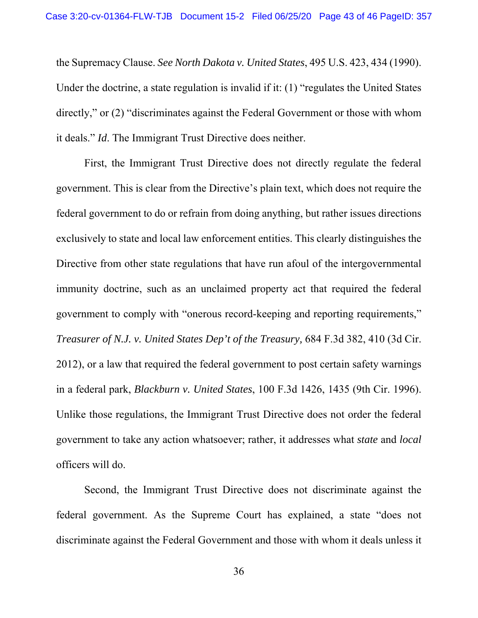the Supremacy Clause. *See North Dakota v. United States*, 495 U.S. 423, 434 (1990). Under the doctrine, a state regulation is invalid if it: (1) "regulates the United States directly," or (2) "discriminates against the Federal Government or those with whom it deals." *Id*. The Immigrant Trust Directive does neither.

First, the Immigrant Trust Directive does not directly regulate the federal government. This is clear from the Directive's plain text, which does not require the federal government to do or refrain from doing anything, but rather issues directions exclusively to state and local law enforcement entities. This clearly distinguishes the Directive from other state regulations that have run afoul of the intergovernmental immunity doctrine, such as an unclaimed property act that required the federal government to comply with "onerous record-keeping and reporting requirements," *Treasurer of N.J. v. United States Dep't of the Treasury,* 684 F.3d 382, 410 (3d Cir. 2012), or a law that required the federal government to post certain safety warnings in a federal park, *Blackburn v. United States*, 100 F.3d 1426, 1435 (9th Cir. 1996). Unlike those regulations, the Immigrant Trust Directive does not order the federal government to take any action whatsoever; rather, it addresses what *state* and *local*  officers will do.

Second, the Immigrant Trust Directive does not discriminate against the federal government. As the Supreme Court has explained, a state "does not discriminate against the Federal Government and those with whom it deals unless it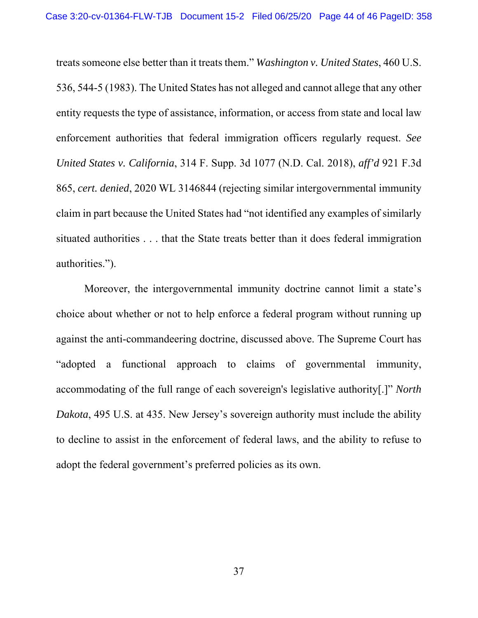treats someone else better than it treats them." *Washington v. United States*, 460 U.S. 536, 544-5 (1983). The United States has not alleged and cannot allege that any other entity requests the type of assistance, information, or access from state and local law enforcement authorities that federal immigration officers regularly request. *See United States v. California*, 314 F. Supp. 3d 1077 (N.D. Cal. 2018), *aff'd* 921 F.3d 865, *cert. denied*, 2020 WL 3146844 (rejecting similar intergovernmental immunity claim in part because the United States had "not identified any examples of similarly situated authorities . . . that the State treats better than it does federal immigration authorities.").

Moreover, the intergovernmental immunity doctrine cannot limit a state's choice about whether or not to help enforce a federal program without running up against the anti-commandeering doctrine, discussed above. The Supreme Court has "adopted a functional approach to claims of governmental immunity, accommodating of the full range of each sovereign's legislative authority[.]" *North Dakota*, 495 U.S. at 435. New Jersey's sovereign authority must include the ability to decline to assist in the enforcement of federal laws, and the ability to refuse to adopt the federal government's preferred policies as its own.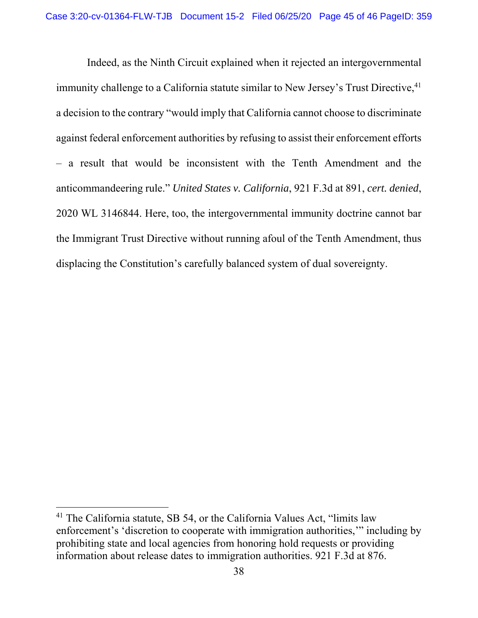Indeed, as the Ninth Circuit explained when it rejected an intergovernmental immunity challenge to a California statute similar to New Jersey's Trust Directive, <sup>41</sup> a decision to the contrary "would imply that California cannot choose to discriminate against federal enforcement authorities by refusing to assist their enforcement efforts – a result that would be inconsistent with the Tenth Amendment and the anticommandeering rule." *United States v. California*, 921 F.3d at 891, *cert. denied*, 2020 WL 3146844. Here, too, the intergovernmental immunity doctrine cannot bar the Immigrant Trust Directive without running afoul of the Tenth Amendment, thus displacing the Constitution's carefully balanced system of dual sovereignty.

<sup>&</sup>lt;sup>41</sup> The California statute, SB 54, or the California Values Act, "limits law enforcement's 'discretion to cooperate with immigration authorities,'" including by prohibiting state and local agencies from honoring hold requests or providing information about release dates to immigration authorities. 921 F.3d at 876.